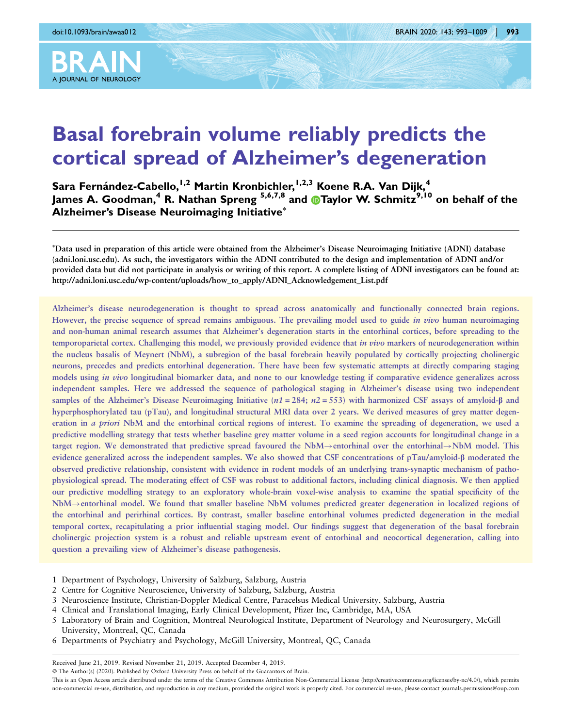

# Basal forebrain volume reliably predicts the cortical spread of Alzheimer's degeneration

Sara Fernández-Cabello,<sup>1,2</sup> Martin Kronbichler,<sup>1,2,3</sup> Koene R.A. Van Dijk,<sup>4</sup> James A. Goodman,<sup>4</sup> R. Nathan Spreng <sup>5,6,7,8</sup> and **D**Taylor W. Schmitz<sup>9,10</sup> on behalf of the **Alzheimer's Disease Neuroimaging Initiative\*** 

- Data used in preparation of this article were obtained from the Alzheimer's Disease Neuroimaging Initiative (ADNI) database (adni.loni.usc.edu). As such, the investigators within the ADNI contributed to the design and implementation of ADNI and/or provided data but did not participate in analysis or writing of this report. A complete listing of ADNI investigators can be found at: http://adni.loni.usc.edu/wp-content/uploads/how\_to\_apply/ADNI\_Acknowledgement\_List.pdf

Alzheimer's disease neurodegeneration is thought to spread across anatomically and functionally connected brain regions. However, the precise sequence of spread remains ambiguous. The prevailing model used to guide *in vivo* human neuroimaging and non-human animal research assumes that Alzheimer's degeneration starts in the entorhinal cortices, before spreading to the temporoparietal cortex. Challenging this model, we previously provided evidence that *in vivo* markers of neurodegeneration within the nucleus basalis of Meynert (NbM), a subregion of the basal forebrain heavily populated by cortically projecting cholinergic neurons, precedes and predicts entorhinal degeneration. There have been few systematic attempts at directly comparing staging models using *in vivo* longitudinal biomarker data, and none to our knowledge testing if comparative evidence generalizes across independent samples. Here we addressed the sequence of pathological staging in Alzheimer's disease using two independent samples of the Alzheimer's Disease Neuroimaging Initiative ( $n1 = 284$ ;  $n2 = 553$ ) with harmonized CSF assays of amyloid- $\beta$  and hyperphosphorylated tau (pTau), and longitudinal structural MRI data over 2 years. We derived measures of grey matter degeneration in a priori NbM and the entorhinal cortical regions of interest. To examine the spreading of degeneration, we used a predictive modelling strategy that tests whether baseline grey matter volume in a seed region accounts for longitudinal change in a target region. We demonstrated that predictive spread favoured the NbM $\rightarrow$ entorhinal over the entorhinal $\rightarrow$ NbM model. This evidence generalized across the independent samples. We also showed that CSF concentrations of  $pTau/amyloid-β$  moderated the observed predictive relationship, consistent with evidence in rodent models of an underlying trans-synaptic mechanism of pathophysiological spread. The moderating effect of CSF was robust to additional factors, including clinical diagnosis. We then applied our predictive modelling strategy to an exploratory whole-brain voxel-wise analysis to examine the spatial specificity of the NbM $\rightarrow$ entorhinal model. We found that smaller baseline NbM volumes predicted greater degeneration in localized regions of the entorhinal and perirhinal cortices. By contrast, smaller baseline entorhinal volumes predicted degeneration in the medial temporal cortex, recapitulating a prior influential staging model. Our findings suggest that degeneration of the basal forebrain cholinergic projection system is a robust and reliable upstream event of entorhinal and neocortical degeneration, calling into question a prevailing view of Alzheimer's disease pathogenesis.

- 1 Department of Psychology, University of Salzburg, Salzburg, Austria
- 2 Centre for Cognitive Neuroscience, University of Salzburg, Salzburg, Austria
- 3 Neuroscience Institute, Christian-Doppler Medical Centre, Paracelsus Medical University, Salzburg, Austria
- 4 Clinical and Translational Imaging, Early Clinical Development, Pfizer Inc, Cambridge, MA, USA
- 5 Laboratory of Brain and Cognition, Montreal Neurological Institute, Department of Neurology and Neurosurgery, McGill University, Montreal, QC, Canada
- 6 Departments of Psychiatry and Psychology, McGill University, Montreal, QC, Canada

Received June 21, 2019. Revised November 21, 2019. Accepted December 4, 2019.

This is an Open Access article distributed under the terms of the Creative Commons Attribution Non-Commercial License (http://creativecommons.org/licenses/by-nc/4.0/), which permits non-commercial re-use, distribution, and reproduction in any medium, provided the original work is properly cited. For commercial re-use, please contact journals.permissions@oup.com

<sup>-</sup> The Author(s) (2020). Published by Oxford University Press on behalf of the Guarantors of Brain.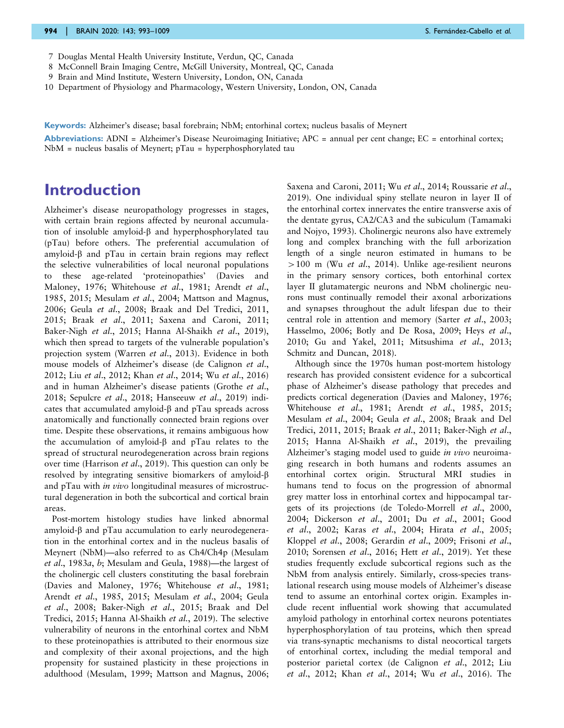- 7 Douglas Mental Health University Institute, Verdun, QC, Canada
- 8 McConnell Brain Imaging Centre, McGill University, Montreal, QC, Canada
- 9 Brain and Mind Institute, Western University, London, ON, Canada
- 10 Department of Physiology and Pharmacology, Western University, London, ON, Canada

Keywords: Alzheimer's disease; basal forebrain; NbM; entorhinal cortex; nucleus basalis of Meynert

**Abbreviations:** ADNI = Alzheimer's Disease Neuroimaging Initiative;  $APC =$  annual per cent change;  $EC =$  entorhinal cortex;  $NbM$  = nucleus basalis of Meynert;  $pTau = hyperphosphorylated tau$ 

## Introduction

Alzheimer's disease neuropathology progresses in stages, with certain brain regions affected by neuronal accumulation of insoluble amyloid- $\beta$  and hyperphosphorylated tau (pTau) before others. The preferential accumulation of amyloid- $\beta$  and pTau in certain brain regions may reflect the selective vulnerabilities of local neuronal populations to these age-related 'proteinopathies' [\(Davies and](#page-14-0) [Maloney, 1976](#page-14-0); [Whitehouse](#page-16-0) et al., 1981; [Arendt](#page-13-0) et al., [1985](#page-13-0), [2015](#page-14-0); [Mesulam](#page-15-0) et al., 2004; [Mattson and Magnus,](#page-15-0) [2006](#page-15-0); Geula et al[., 2008](#page-14-0); [Braak and Del Tredici, 2011,](#page-14-0) [2015](#page-14-0); Braak et al[., 2011;](#page-14-0) [Saxena and Caroni, 2011;](#page-16-0) [Baker-Nigh](#page-14-0) et al., 2015; [Hanna Al-Shaikh](#page-14-0) et al., 2019), which then spread to targets of the vulnerable population's projection system (Warren et al[., 2013\)](#page-16-0). Evidence in both mouse models of Alzheimer's disease [\(de Calignon](#page-14-0) et al., [2012](#page-14-0); Liu et al[., 2012](#page-15-0); Khan et al[., 2014;](#page-15-0) Wu et al[., 2016](#page-16-0)) and in human Alzheimer's disease patients [\(Grothe](#page-14-0) et al., [2018](#page-14-0); [Sepulcre](#page-16-0) et al., 2018; [Hanseeuw](#page-14-0) et al., 2019) indicates that accumulated amyloid- $\beta$  and pTau spreads across anatomically and functionally connected brain regions over time. Despite these observations, it remains ambiguous how the accumulation of amyloid- $\beta$  and pTau relates to the spread of structural neurodegeneration across brain regions over time [\(Harrison](#page-15-0) et al., 2019). This question can only be resolved by integrating sensitive biomarkers of amyloid-b and pTau with in vivo longitudinal measures of microstructural degeneration in both the subcortical and cortical brain areas.

Post-mortem histology studies have linked abnormal amyloid- $\beta$  and pTau accumulation to early neurodegeneration in the entorhinal cortex and in the nucleus basalis of Meynert (NbM)—also referred to as Ch4/Ch4p ([Mesulam](#page-15-0) et al[., 1983](#page-15-0)a, [b](#page-15-0); [Mesulam and Geula, 1988](#page-15-0))—the largest of the cholinergic cell clusters constituting the basal forebrain [\(Davies and Maloney, 1976;](#page-14-0) [Whitehouse](#page-16-0) et al., 1981; Arendt et al[., 1985,](#page-13-0) [2015](#page-14-0); [Mesulam](#page-15-0) et al., 2004; [Geula](#page-14-0) et al[., 2008; Baker-Nigh](#page-14-0) et al., 2015; [Braak and Del](#page-14-0) [Tredici, 2015](#page-14-0); [Hanna Al-Shaikh](#page-14-0) et al., 2019). The selective vulnerability of neurons in the entorhinal cortex and NbM to these proteinopathies is attributed to their enormous size and complexity of their axonal projections, and the high propensity for sustained plasticity in these projections in adulthood [\(Mesulam, 1999; Mattson and Magnus, 2006;](#page-15-0)

[Saxena and Caroni, 2011](#page-16-0); Wu et al[., 2014; Roussarie](#page-16-0) et al., [2019\)](#page-16-0). One individual spiny stellate neuron in layer II of the entorhinal cortex innervates the entire transverse axis of the dentate gyrus, CA2/CA3 and the subiculum [\(Tamamaki](#page-16-0) [and Nojyo, 1993](#page-16-0)). Cholinergic neurons also have extremely long and complex branching with the full arborization length of a single neuron estimated in humans to be  $>100$  m (Wu *et al.*, 2014). Unlike age-resilient neurons in the primary sensory cortices, both entorhinal cortex layer II glutamatergic neurons and NbM cholinergic neurons must continually remodel their axonal arborizations and synapses throughout the adult lifespan due to their central role in attention and memory (Sarter et al[., 2003](#page-16-0); [Hasselmo, 2006](#page-15-0); [Botly and De Rosa, 2009;](#page-14-0) [Heys](#page-15-0) et al., [2010;](#page-15-0) [Gu and Yakel, 2011](#page-14-0); [Mitsushima](#page-15-0) et al., 2013; [Schmitz and Duncan, 2018\)](#page-16-0).

Although since the 1970s human post-mortem histology research has provided consistent evidence for a subcortical phase of Alzheimer's disease pathology that precedes and predicts cortical degeneration [\(Davies and Maloney, 1976](#page-14-0); [Whitehouse](#page-16-0) et al., 1981; Arendt et al[., 1985,](#page-13-0) [2015](#page-14-0); [Mesulam](#page-15-0) et al., 2004; Geula et al[., 2008](#page-14-0); [Braak and Del](#page-14-0) [Tredici, 2011, 2015;](#page-14-0) Braak et al[., 2011](#page-14-0); [Baker-Nigh](#page-14-0) et al., [2015; Hanna Al-Shaikh](#page-14-0) et al., 2019), the prevailing Alzheimer's staging model used to guide *in vivo* neuroimaging research in both humans and rodents assumes an entorhinal cortex origin. Structural MRI studies in humans tend to focus on the progression of abnormal grey matter loss in entorhinal cortex and hippocampal targets of its projections ([de Toledo-Morrell](#page-14-0) et al., 2000, [2004; Dickerson](#page-14-0) et al[., 2001](#page-14-0); Du et al., 2001; [Good](#page-14-0) et al[., 2002](#page-14-0); Karas et al[., 2004;](#page-15-0) Hirata et al[., 2005](#page-15-0); [Kloppel](#page-15-0) et al., 2008; [Gerardin](#page-14-0) et al., 2009; [Frisoni](#page-14-0) et al., [2010;](#page-14-0) [Sorensen](#page-16-0) et al., 2016; Hett et al[., 2019\)](#page-15-0). Yet these studies frequently exclude subcortical regions such as the NbM from analysis entirely. Similarly, cross-species translational research using mouse models of Alzheimer's disease tend to assume an entorhinal cortex origin. Examples include recent influential work showing that accumulated amyloid pathology in entorhinal cortex neurons potentiates hyperphosphorylation of tau proteins, which then spread via trans-synaptic mechanisms to distal neocortical targets of entorhinal cortex, including the medial temporal and posterior parietal cortex ([de Calignon](#page-14-0) et al., 2012; [Liu](#page-15-0) et al[., 2012](#page-15-0); Khan et al[., 2014](#page-15-0); Wu et al[., 2016](#page-16-0)). The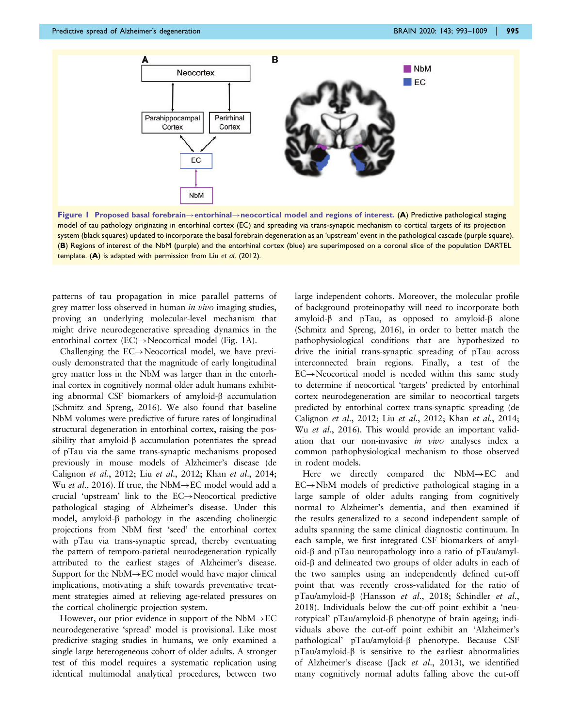<span id="page-2-0"></span>

Figure 1 Proposed basal forebrain $\rightarrow$ entorhinal $\rightarrow$ neocortical model and regions of interest. (A) Predictive pathological staging model of tau pathology originating in entorhinal cortex (EC) and spreading via trans-synaptic mechanism to cortical targets of its projection system (black squares) updated to incorporate the basal forebrain degeneration as an 'upstream' event in the pathological cascade (purple square). (B) Regions of interest of the NbM (purple) and the entorhinal cortex (blue) are superimposed on a coronal slice of the population DARTEL template. (A) is adapted with permission from Liu et al[. \(2012\).](#page-15-0)

patterns of tau propagation in mice parallel patterns of grey matter loss observed in human *in vivo* imaging studies, proving an underlying molecular-level mechanism that might drive neurodegenerative spreading dynamics in the entorhinal cortex  $(EC) \rightarrow$ Neocortical model (Fig. 1A).

Challenging the  $EC \rightarrow$ Neocortical model, we have previously demonstrated that the magnitude of early longitudinal grey matter loss in the NbM was larger than in the entorhinal cortex in cognitively normal older adult humans exhibiting abnormal CSF biomarkers of amyloid- $\beta$  accumulation ([Schmitz and Spreng, 2016\)](#page-16-0). We also found that baseline NbM volumes were predictive of future rates of longitudinal structural degeneration in entorhinal cortex, raising the possibility that amyloid- $\beta$  accumulation potentiates the spread of pTau via the same trans-synaptic mechanisms proposed previously in mouse models of Alzheimer's disease [\(de](#page-14-0) [Calignon](#page-14-0) et al., 2012; Liu et al[., 2012](#page-15-0); Khan et al[., 2014](#page-15-0); Wu *et al.*, 2016). If true, the NbM $\rightarrow$ EC model would add a crucial 'upstream' link to the  $EC \rightarrow$ Neocortical predictive pathological staging of Alzheimer's disease. Under this model, amyloid- $\beta$  pathology in the ascending cholinergic projections from NbM first 'seed' the entorhinal cortex with pTau via trans-synaptic spread, thereby eventuating the pattern of temporo-parietal neurodegeneration typically attributed to the earliest stages of Alzheimer's disease. Support for the  $NbM \rightarrow EC$  model would have major clinical implications, motivating a shift towards preventative treatment strategies aimed at relieving age-related pressures on the cortical cholinergic projection system.

However, our prior evidence in support of the  $NbM \rightarrow EC$ neurodegenerative 'spread' model is provisional. Like most predictive staging studies in humans, we only examined a single large heterogeneous cohort of older adults. A stronger test of this model requires a systematic replication using identical multimodal analytical procedures, between two

large independent cohorts. Moreover, the molecular profile of background proteinopathy will need to incorporate both amyloid- $\beta$  and pTau, as opposed to amyloid- $\beta$  alone ([Schmitz and Spreng, 2016\)](#page-16-0), in order to better match the pathophysiological conditions that are hypothesized to drive the initial trans-synaptic spreading of pTau across interconnected brain regions. Finally, a test of the  $EC \rightarrow$ Neocortical model is needed within this same study to determine if neocortical 'targets' predicted by entorhinal cortex neurodegeneration are similar to neocortical targets predicted by entorhinal cortex trans-synaptic spreading [\(de](#page-14-0) [Calignon](#page-14-0) et al., 2012; Liu et al[., 2012](#page-15-0); Khan et al[., 2014](#page-15-0); Wu et al[., 2016](#page-16-0)). This would provide an important validation that our non-invasive in vivo analyses index a common pathophysiological mechanism to those observed in rodent models.

Here we directly compared the  $NbM \rightarrow EC$  and  $EC \rightarrow NbM$  models of predictive pathological staging in a large sample of older adults ranging from cognitively normal to Alzheimer's dementia, and then examined if the results generalized to a second independent sample of adults spanning the same clinical diagnostic continuum. In each sample, we first integrated CSF biomarkers of amyloid- $\beta$  and pTau neuropathology into a ratio of pTau/amyl $oid$ - $\beta$  and delineated two groups of older adults in each of the two samples using an independently defined cut-off point that was recently cross-validated for the ratio of pTau/amyloid- $\beta$  [\(Hansson](#page-14-0) et al., 2018; [Schindler](#page-16-0) et al., [2018](#page-16-0)). Individuals below the cut-off point exhibit a 'neurotypical' pTau/amyloid-b phenotype of brain ageing; individuals above the cut-off point exhibit an 'Alzheimer's pathological' pTau/amyloid-b phenotype. Because CSF  $pTau/amyloid-β$  is sensitive to the earliest abnormalities of Alzheimer's disease (Jack et al[., 2013\)](#page-15-0), we identified many cognitively normal adults falling above the cut-off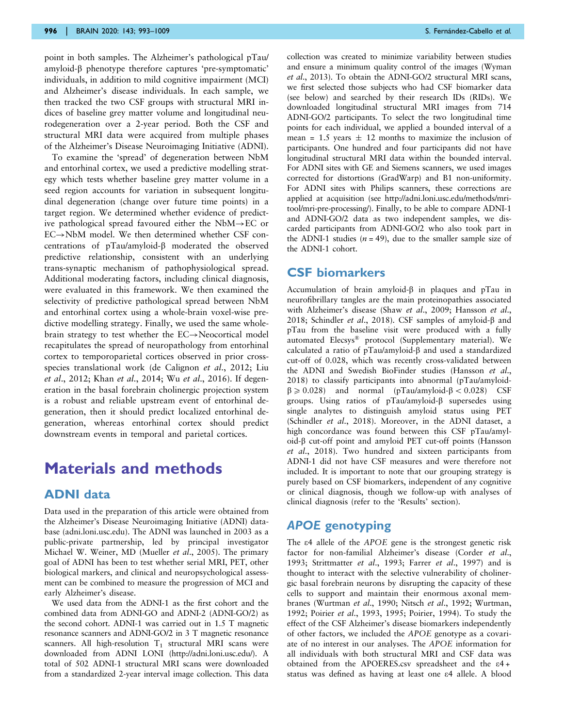point in both samples. The Alzheimer's pathological pTau/ amyloid- $\beta$  phenotype therefore captures 'pre-symptomatic' individuals, in addition to mild cognitive impairment (MCI) and Alzheimer's disease individuals. In each sample, we then tracked the two CSF groups with structural MRI indices of baseline grey matter volume and longitudinal neurodegeneration over a 2-year period. Both the CSF and structural MRI data were acquired from multiple phases of the Alzheimer's Disease Neuroimaging Initiative (ADNI).

To examine the 'spread' of degeneration between NbM and entorhinal cortex, we used a predictive modelling strategy which tests whether baseline grey matter volume in a seed region accounts for variation in subsequent longitudinal degeneration (change over future time points) in a target region. We determined whether evidence of predictive pathological spread favoured either the  $NbM \rightarrow EC$  or  $EC \rightarrow NbM$  model. We then determined whether CSF concentrations of pTau/amyloid-b moderated the observed predictive relationship, consistent with an underlying trans-synaptic mechanism of pathophysiological spread. Additional moderating factors, including clinical diagnosis, were evaluated in this framework. We then examined the selectivity of predictive pathological spread between NbM and entorhinal cortex using a whole-brain voxel-wise predictive modelling strategy. Finally, we used the same wholebrain strategy to test whether the  $EC \rightarrow$ Neocortical model recapitulates the spread of neuropathology from entorhinal cortex to temporoparietal cortices observed in prior crossspecies translational work [\(de Calignon](#page-14-0) et al., 2012; [Liu](#page-15-0) et al[., 2012;](#page-15-0) Khan et al[., 2014;](#page-15-0) Wu et al[., 2016\)](#page-16-0). If degeneration in the basal forebrain cholinergic projection system is a robust and reliable upstream event of entorhinal degeneration, then it should predict localized entorhinal degeneration, whereas entorhinal cortex should predict downstream events in temporal and parietal cortices.

## Materials and methods

### ADNI data

Data used in the preparation of this article were obtained from the Alzheimer's Disease Neuroimaging Initiative (ADNI) database (adni.loni.usc.edu). The ADNI was launched in 2003 as a public-private partnership, led by principal investigator Michael W. Weiner, MD [\(Mueller](#page-15-0) et al., 2005). The primary goal of ADNI has been to test whether serial MRI, PET, other biological markers, and clinical and neuropsychological assessment can be combined to measure the progression of MCI and early Alzheimer's disease.

We used data from the ADNI-1 as the first cohort and the combined data from ADNI-GO and ADNI-2 (ADNI-GO/2) as the second cohort. ADNI-1 was carried out in 1.5 T magnetic resonance scanners and ADNI-GO/2 in 3 T magnetic resonance scanners. All high-resolution  $T_1$  structural MRI scans were downloaded from ADNI LONI (<http://adni.loni.usc.edu/>). A total of 502 ADNI-1 structural MRI scans were downloaded from a standardized 2-year interval image collection. This data

collection was created to minimize variability between studies and ensure a minimum quality control of the images [\(Wyman](#page-16-0) et al[., 2013\)](#page-16-0). To obtain the ADNI-GO/2 structural MRI scans, we first selected those subjects who had CSF biomarker data (see below) and searched by their research IDs (RIDs). We downloaded longitudinal structural MRI images from 714 ADNI-GO/2 participants. To select the two longitudinal time points for each individual, we applied a bounded interval of a mean = 1.5 years  $\pm$  12 months to maximize the inclusion of participants. One hundred and four participants did not have longitudinal structural MRI data within the bounded interval. For ADNI sites with GE and Siemens scanners, we used images corrected for distortions (GradWarp) and B1 non-uniformity. For ADNI sites with Philips scanners, these corrections are applied at acquisition (see [http://adni.loni.usc.edu/methods/mri](http://adni.loni.usc.edu/methods/mri-tool/mri-pre-processing/)[tool/mri-pre-processing/\)](http://adni.loni.usc.edu/methods/mri-tool/mri-pre-processing/). Finally, to be able to compare ADNI-1 and ADNI-GO/2 data as two independent samples, we discarded participants from ADNI-GO/2 who also took part in the ADNI-1 studies  $(n = 49)$ , due to the smaller sample size of the ADNI-1 cohort.

### CSF biomarkers

Accumulation of brain amyloid- $\beta$  in plaques and pTau in neurofibrillary tangles are the main proteinopathies associated with Alzheimer's disease (Shaw et al[., 2009](#page-16-0); [Hansson](#page-14-0) et al., [2018;](#page-14-0) [Schindler](#page-16-0) et al., 2018). CSF samples of amyloid- $\beta$  and pTau from the baseline visit were produced with a fully automated Elecsys® protocol ([Supplementary material](https://academic.oup.com/brain/article-lookup/doi/10.1093/brain/awaa012#supplementary-data)). We calculated a ratio of  $pTau/amyloid-β$  and used a standardized cut-off of 0.028, which was recently cross-validated between the ADNI and Swedish BioFinder studies ([Hansson](#page-14-0) et al., [2018\)](#page-14-0) to classify participants into abnormal (pTau/amyloid- $\beta \ge 0.028$ ) and normal (pTau/amyloid- $\beta < 0.028$ ) CSF groups. Using ratios of pTau/amyloid-b supersedes using single analytes to distinguish amyloid status using PET ([Schindler](#page-16-0) et al., 2018). Moreover, in the ADNI dataset, a high concordance was found between this CSF pTau/amyloid-b cut-off point and amyloid PET cut-off points [\(Hansson](#page-14-0) et al[., 2018\)](#page-14-0). Two hundred and sixteen participants from ADNI-1 did not have CSF measures and were therefore not included. It is important to note that our grouping strategy is purely based on CSF biomarkers, independent of any cognitive or clinical diagnosis, though we follow-up with analyses of clinical diagnosis (refer to the 'Results' section).

### APOE genotyping

The e4 allele of the APOE gene is the strongest genetic risk factor for non-familial Alzheimer's disease ([Corder](#page-14-0) et al., [1993;](#page-14-0) [Strittmatter](#page-16-0) et al., 1993; Farrer et al[., 1997\)](#page-14-0) and is thought to interact with the selective vulnerability of cholinergic basal forebrain neurons by disrupting the capacity of these cells to support and maintain their enormous axonal membranes ([Wurtman](#page-16-0) et al., 1990; Nitsch et al[., 1992](#page-15-0); [Wurtman,](#page-16-0) [1992;](#page-16-0) Poirier et al[., 1993, 1995; Poirier, 1994](#page-16-0)). To study the effect of the CSF Alzheimer's disease biomarkers independently of other factors, we included the APOE genotype as a covariate of no interest in our analyses. The APOE information for all individuals with both structural MRI and CSF data was obtained from the APOERES.csv spreadsheet and the e4 + status was defined as having at least one e4 allele. A blood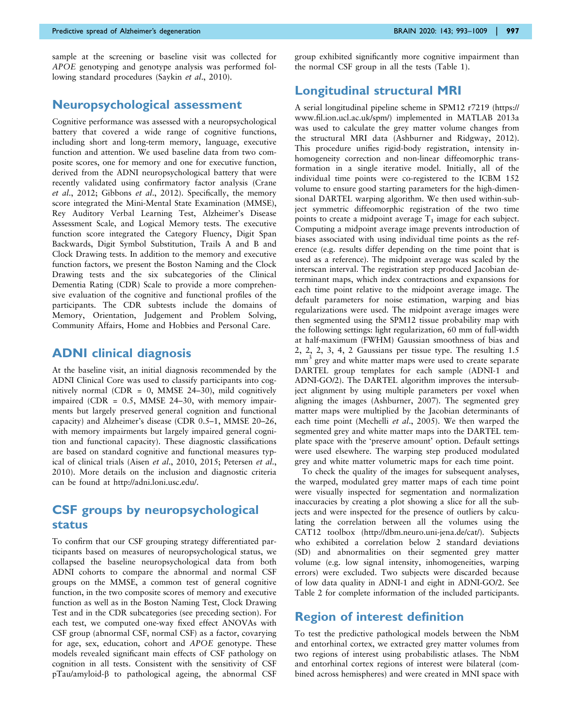sample at the screening or baseline visit was collected for APOE genotyping and genotype analysis was performed fol-lowing standard procedures (Saykin et al[., 2010\)](#page-16-0).

### Neuropsychological assessment

Cognitive performance was assessed with a neuropsychological battery that covered a wide range of cognitive functions, including short and long-term memory, language, executive function and attention. We used baseline data from two composite scores, one for memory and one for executive function, derived from the ADNI neuropsychological battery that were recently validated using confirmatory factor analysis [\(Crane](#page-14-0) et al[., 2012; Gibbons](#page-14-0) et al., 2012). Specifically, the memory score integrated the Mini-Mental State Examination (MMSE), Rey Auditory Verbal Learning Test, Alzheimer's Disease Assessment Scale, and Logical Memory tests. The executive function score integrated the Category Fluency, Digit Span Backwards, Digit Symbol Substitution, Trails A and B and Clock Drawing tests. In addition to the memory and executive function factors, we present the Boston Naming and the Clock Drawing tests and the six subcategories of the Clinical Dementia Rating (CDR) Scale to provide a more comprehensive evaluation of the cognitive and functional profiles of the participants. The CDR subtests include the domains of Memory, Orientation, Judgement and Problem Solving, Community Affairs, Home and Hobbies and Personal Care.

### ADNI clinical diagnosis

At the baseline visit, an initial diagnosis recommended by the ADNI Clinical Core was used to classify participants into cognitively normal (CDR = 0, MMSE 24–30), mild cognitively impaired (CDR = 0.5, MMSE 24–30, with memory impairments but largely preserved general cognition and functional capacity) and Alzheimer's disease (CDR 0.5–1, MMSE 20–26, with memory impairments but largely impaired general cognition and functional capacity). These diagnostic classifications are based on standard cognitive and functional measures typical of clinical trials (Aisen et al[., 2010, 2015](#page-13-0); [Petersen](#page-15-0) et al., [2010](#page-15-0)). More details on the inclusion and diagnostic criteria can be found at [http://adni.loni.usc.edu/.](http://adni.loni.usc.edu/)

## CSF groups by neuropsychological status

To confirm that our CSF grouping strategy differentiated participants based on measures of neuropsychological status, we collapsed the baseline neuropsychological data from both ADNI cohorts to compare the abnormal and normal CSF groups on the MMSE, a common test of general cognitive function, in the two composite scores of memory and executive function as well as in the Boston Naming Test, Clock Drawing Test and in the CDR subcategories (see preceding section). For each test, we computed one-way fixed effect ANOVAs with CSF group (abnormal CSF, normal CSF) as a factor, covarying for age, sex, education, cohort and APOE genotype. These models revealed significant main effects of CSF pathology on cognition in all tests. Consistent with the sensitivity of CSF pTau/amyloid-b to pathological ageing, the abnormal CSF

group exhibited significantly more cognitive impairment than the normal CSF group in all the tests [\(Table 1\)](#page-5-0).

### Longitudinal structural MRI

A serial longitudinal pipeline scheme in SPM12 r7219 [\(https://](https://www.fil.ion.ucl.ac.uk/spm/) [www.fil.ion.ucl.ac.uk/spm/](https://www.fil.ion.ucl.ac.uk/spm/)) implemented in MATLAB 2013a was used to calculate the grey matter volume changes from the structural MRI data [\(Ashburner and Ridgway, 2012](#page-14-0)). This procedure unifies rigid-body registration, intensity inhomogeneity correction and non-linear diffeomorphic transformation in a single iterative model. Initially, all of the individual time points were co-registered to the ICBM 152 volume to ensure good starting parameters for the high-dimensional DARTEL warping algorithm. We then used within-subject symmetric diffeomorphic registration of the two time points to create a midpoint average  $T_1$  image for each subject. Computing a midpoint average image prevents introduction of biases associated with using individual time points as the reference (e.g. results differ depending on the time point that is used as a reference). The midpoint average was scaled by the interscan interval. The registration step produced Jacobian determinant maps, which index contractions and expansions for each time point relative to the midpoint average image. The default parameters for noise estimation, warping and bias regularizations were used. The midpoint average images were then segmented using the SPM12 tissue probability map with the following settings: light regularization, 60 mm of full-width at half-maximum (FWHM) Gaussian smoothness of bias and 2, 2, 2, 3, 4, 2 Gaussians per tissue type. The resulting 1.5 mm<sup>3</sup> grey and white matter maps were used to create separate DARTEL group templates for each sample (ADNI-1 and ADNI-GO/2). The DARTEL algorithm improves the intersubject alignment by using multiple parameters per voxel when aligning the images [\(Ashburner, 2007\)](#page-14-0). The segmented grey matter maps were multiplied by the Jacobian determinants of each time point ([Mechelli](#page-15-0) et al., 2005). We then warped the segmented grey and white matter maps into the DARTEL template space with the 'preserve amount' option. Default settings were used elsewhere. The warping step produced modulated grey and white matter volumetric maps for each time point.

To check the quality of the images for subsequent analyses, the warped, modulated grey matter maps of each time point were visually inspected for segmentation and normalization inaccuracies by creating a plot showing a slice for all the subjects and were inspected for the presence of outliers by calculating the correlation between all the volumes using the CAT12 toolbox (<http://dbm.neuro.uni-jena.de/cat/>). Subjects who exhibited a correlation below 2 standard deviations (SD) and abnormalities on their segmented grey matter volume (e.g. low signal intensity, inhomogeneities, warping errors) were excluded. Two subjects were discarded because of low data quality in ADNI-1 and eight in ADNI-GO/2. See [Table 2](#page-5-0) for complete information of the included participants.

## Region of interest definition

To test the predictive pathological models between the NbM and entorhinal cortex, we extracted grey matter volumes from two regions of interest using probabilistic atlases. The NbM and entorhinal cortex regions of interest were bilateral (combined across hemispheres) and were created in MNI space with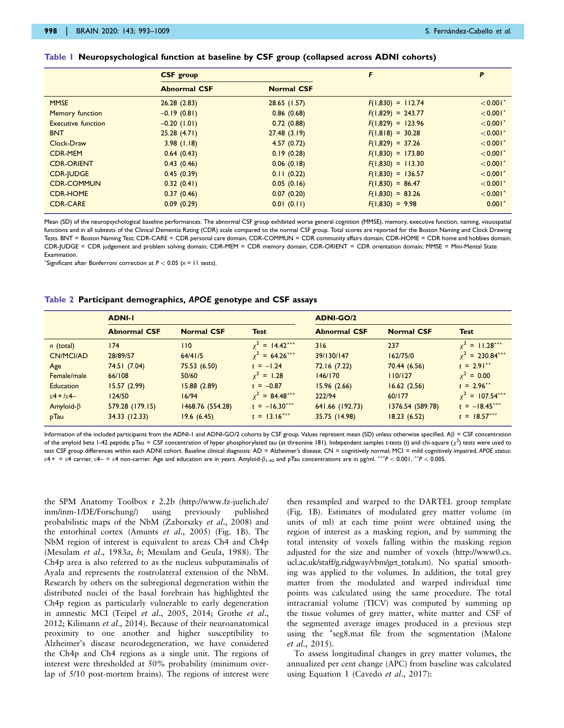#### <span id="page-5-0"></span>Table 1 Neuropsychological function at baseline by CSF group (collapsed across ADNI cohorts)

|                           | <b>CSF</b> group    |                   | F                   | P                      |
|---------------------------|---------------------|-------------------|---------------------|------------------------|
|                           | <b>Abnormal CSF</b> | <b>Normal CSF</b> |                     |                        |
| <b>MMSE</b>               | 26.28(2.83)         | $28.65$ (1.57)    | $F(1,830) = 112.74$ | $< 0.001$ <sup>*</sup> |
| Memory function           | $-0.19(0.81)$       | 0.86(0.68)        | $F(1,829) = 243.77$ | $< 0.001$ <sup>*</sup> |
| <b>Executive function</b> | $-0.20$ (1.01)      | 0.72(0.88)        | $F(1,829) = 123.96$ | $< 0.001$ <sup>*</sup> |
| <b>BNT</b>                | 25.28(4.71)         | 27.48(3.19)       | $F(1,818) = 30.28$  | $< 0.001$ <sup>*</sup> |
| Clock-Draw                | 3.98(1.18)          | 4.57(0.72)        | $F(1,829) = 37.26$  | $< 0.001$ <sup>*</sup> |
| <b>CDR-MEM</b>            | 0.64(0.43)          | 0.19(0.28)        | $F(1,830) = 173.80$ | $< 0.001*$             |
| <b>CDR-ORIENT</b>         | 0.43(0.46)          | 0.06(0.18)        | $F(1,830) = 113.30$ | $< 0.001$ <sup>*</sup> |
| <b>CDR-JUDGE</b>          | 0.45(0.39)          | 0.11(0.22)        | $F(1,830) = 136.57$ | $< 0.001$ <sup>*</sup> |
| <b>CDR-COMMUN</b>         | 0.32(0.41)          | 0.05(0.16)        | $F(1,830) = 86.47$  | $< 0.001$ <sup>*</sup> |
| <b>CDR-HOME</b>           | 0.37(0.46)          | 0.07(0.20)        | $F(1,830) = 83.26$  | $< 0.001$ <sup>*</sup> |
| <b>CDR-CARE</b>           | 0.09(0.29)          | 0.01(0.11)        | $F(1,830) = 9.98$   | $0.001*$               |

Mean (SD) of the neuropsychological baseline performances. The abnormal CSF group exhibited worse general cognition (MMSE), memory, executive function, naming, visuospatial functions and in all subtests of the Clinical Dementia Rating (CDR) scale compared to the normal CSF group. Total scores are reported for the Boston Naming and Clock Drawing Tests. BNT = Boston Naming Test; CDR-CARE = CDR personal care domain; CDR-COMMUN = CDR community affairs domain; CDR-HOME = CDR home and hobbies domain; CDR-JUDGE = CDR judgement and problem solving domain; CDR-MEM = CDR memory domain; CDR-ORIENT = CDR orientation domain; MMSE = Mini-Mental State **Examination** 

\*Significant after Bonferroni correction at  $P < 0.05$  (n = 11 tests).

#### Table 2 Participant demographics, APOE genotype and CSF assays

|                                 | <b>ADNI-I</b>       |                   |                  | <b>ADNI-GO/2</b>    |                   |                      |
|---------------------------------|---------------------|-------------------|------------------|---------------------|-------------------|----------------------|
|                                 | <b>Abnormal CSF</b> | <b>Normal CSF</b> | <b>Test</b>      | <b>Abnormal CSF</b> | <b>Normal CSF</b> | <b>Test</b>          |
| $n$ (total)                     | 174                 | 110               | $y^2 = 14.42***$ | 316                 | 237               | $y^2 = 11.28***$     |
| CN/MCI/AD                       | 28/89/57            | 64/41/5           | $x^2 = 64.26***$ | 39/130/147          | 162/75/0          | $\chi^2$ = 230.84*** |
| Age                             | 74.51 (7.04)        | 75.53 (6.50)      | $t = -1.24$      | 72.16 (7.22)        | 70.44 (6.56)      | $t = 2.91***$        |
| Female/male                     | 66/108              | 50/60             | $x^2 = 1.28$     | 146/170             | 110/127           | $x^2 = 0.00$         |
| <b>Education</b>                | 15.57(2.99)         | 15.88(2.89)       | $t = -0.87$      | 15.96(2.66)         | 16.62(2.56)       | $t = 2.96***$        |
| $\epsilon$ 4 + / $\epsilon$ 4 - | 124/50              | 16/94             | $y^2 = 84.48***$ | 222/94              | 60/177            | $y^2 = 107.54***$    |
| Amyloid- $\beta$                | 579.28 (179.15)     | 1468.76 (554.28)  | $t = -16.30***$  | 641.66 (192.73)     | 1376.54 (589.78)  | $t = -18.45***$      |
| pTau                            | 34.33 (12.33)       | 19.6(6.45)        | $t = 13.16***$   | 35.75 (14.98)       | 18.23(6.52)       | $t = 18.57***$       |

Information of the included participants from the ADNI-1 and ADNI-GO/2 cohorts by CSF group. Values represent mean (SD) unless otherwise specified.  $\mathsf{A}\beta$  = CSF concentration of the amyloid beta 1-42 peptide; pTau = CSF concentration of hyper phosphorylated tau (at threonine 181). Independent samples t-tests (t) and chi-square  $(\chi^2)$  tests were used to test CSF group differences within each ADNI cohort. Baseline clinical diagnosis: AD = Alzheimer's disease; CN = cognitively normal; MCI = mild cognitively impaired. APOE status:  $\varepsilon$ 4 + =  $\varepsilon$ 4 carrier,  $\varepsilon$ 4 =  $\varepsilon$ 4 non-carrier. Age and education are in years. Amyloid- $\beta_{1-42}$  and pTau concentrations are in pg/ml. \*\*\*P < 0.001, \*\*P < 0.005.

the SPM Anatomy Toolbox r 2.2b ([http://www.fz-juelich.de/](http://www.fz-juelich.de/inm/inm-1/DE/Forschung/) [inm/inm-1/DE/Forschung/\)](http://www.fz-juelich.de/inm/inm-1/DE/Forschung/) using previously published probabilistic maps of the NbM ([Zaborszky](#page-16-0) et al., 2008) and the entorhinal cortex ([Amunts](#page-13-0) et al., 2005) ([Fig. 1B\)](#page-2-0). The NbM region of interest is equivalent to areas Ch4 and Ch4p [\(Mesulam](#page-15-0) et al., 1983a, [b](#page-15-0); [Mesulam and Geula, 1988\)](#page-15-0). The Ch4p area is also referred to as the nucleus subputaminalis of Ayala and represents the rostrolateral extension of the NbM. Research by others on the subregional degeneration within the distributed nuclei of the basal forebrain has highlighted the Ch4p region as particularly vulnerable to early degeneration in amnestic MCI (Teipel et al[., 2005, 2014](#page-16-0); [Grothe](#page-14-0) et al., [2012;](#page-14-0) [Kilimann](#page-15-0) et al., 2014). Because of their neuroanatomical proximity to one another and higher susceptibility to Alzheimer's disease neurodegeneration, we have considered the Ch4p and Ch4 regions as a single unit. The regions of interest were thresholded at 50% probability (minimum overlap of 5/10 post-mortem brains). The regions of interest were

then resampled and warped to the DARTEL group template ([Fig. 1B](#page-2-0)). Estimates of modulated grey matter volume (in units of ml) at each time point were obtained using the region of interest as a masking region, and by summing the total intensity of voxels falling within the masking region adjusted for the size and number of voxels [\(http://www0.cs.](http://www0.cs.ucl.ac.uk/staff/g.ridgway/vbm/get_totals.m) [ucl.ac.uk/staff/g.ridgway/vbm/get\\_totals.m\)](http://www0.cs.ucl.ac.uk/staff/g.ridgway/vbm/get_totals.m). No spatial smoothing was applied to the volumes. In addition, the total grey matter from the modulated and warped individual time points was calculated using the same procedure. The total intracranial volume (TICV) was computed by summing up the tissue volumes of grey matter, white matter and CSF of the segmented average images produced in a previous step using the \*seg8.mat file from the segmentation [\(Malone](#page-15-0) et al[., 2015\)](#page-15-0).

To assess longitudinal changes in grey matter volumes, the annualized per cent change (APC) from baseline was calculated using Equation 1 ([Cavedo](#page-14-0) et al., 2017):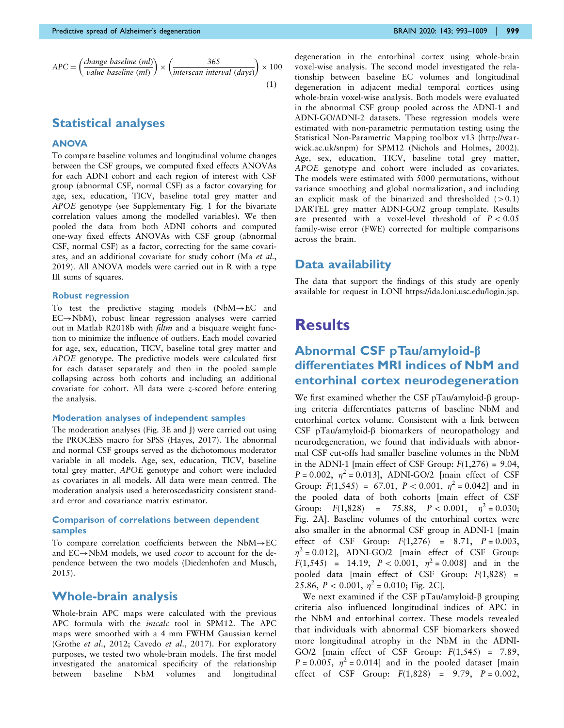$$
APC = \left(\frac{change\ baseline\ (ml)}{value\ baseline\ (ml)}\right) \times \left(\frac{365}{\text{intersection interval}\ (days)}\right) \times 100
$$
\n(1)

### Statistical analyses

#### ANOVA

To compare baseline volumes and longitudinal volume changes between the CSF groups, we computed fixed effects ANOVAs for each ADNI cohort and each region of interest with CSF group (abnormal CSF, normal CSF) as a factor covarying for age, sex, education, TICV, baseline total grey matter and APOE genotype (see [Supplementary Fig. 1](https://academic.oup.com/brain/article-lookup/doi/10.1093/brain/awaa012#supplementary-data) for the bivariate correlation values among the modelled variables). We then pooled the data from both ADNI cohorts and computed one-way fixed effects ANOVAs with CSF group (abnormal CSF, normal CSF) as a factor, correcting for the same covariates, and an additional covariate for study cohort (Ma [et al](#page-15-0)., [2019](#page-15-0)). All ANOVA models were carried out in R with a type III sums of squares.

#### Robust regression

To test the predictive staging models  $(NbM \rightarrow EC$  and  $EC \rightarrow NbM$ ), robust linear regression analyses were carried out in Matlab R2018b with filtm and a bisquare weight function to minimize the influence of outliers. Each model covaried for age, sex, education, TICV, baseline total grey matter and APOE genotype. The predictive models were calculated first for each dataset separately and then in the pooled sample collapsing across both cohorts and including an additional covariate for cohort. All data were z-scored before entering the analysis.

#### Moderation analyses of independent samples

The moderation analyses [\(Fig. 3E and J](#page-8-0)) were carried out using the PROCESS macro for SPSS [\(Hayes, 2017](#page-15-0)). The abnormal and normal CSF groups served as the dichotomous moderator variable in all models. Age, sex, education, TICV, baseline total grey matter, APOE genotype and cohort were included as covariates in all models. All data were mean centred. The moderation analysis used a heteroscedasticity consistent standard error and covariance matrix estimator.

#### Comparison of correlations between dependent samples

To compare correlation coefficients between the  $NbM \rightarrow EC$ and  $EC \rightarrow NbM$  models, we used *cocor* to account for the dependence between the two models ([Diedenhofen and Musch,](#page-14-0) [2015](#page-14-0)).

### Whole-brain analysis

Whole-brain APC maps were calculated with the previous APC formula with the imcalc tool in SPM12. The APC maps were smoothed with a 4 mm FWHM Gaussian kernel (Grothe et al[., 2012](#page-14-0); [Cavedo](#page-14-0) et al., 2017). For exploratory purposes, we tested two whole-brain models. The first model investigated the anatomical specificity of the relationship between baseline NbM volumes and longitudinal degeneration in the entorhinal cortex using whole-brain voxel-wise analysis. The second model investigated the relationship between baseline EC volumes and longitudinal degeneration in adjacent medial temporal cortices using whole-brain voxel-wise analysis. Both models were evaluated in the abnormal CSF group pooled across the ADNI-1 and ADNI-GO/ADNI-2 datasets. These regression models were estimated with non-parametric permutation testing using the Statistical Non-Parametric Mapping toolbox v13 ([http://war](http://warwick.ac.uk/snpm)[wick.ac.uk/snpm\)](http://warwick.ac.uk/snpm) for SPM12 [\(Nichols and Holmes, 2002](#page-15-0)). Age, sex, education, TICV, baseline total grey matter, APOE genotype and cohort were included as covariates. The models were estimated with 5000 permutations, without variance smoothing and global normalization, and including an explicit mask of the binarized and thresholded  $(>0.1)$ DARTEL grey matter ADNI-GO/2 group template. Results are presented with a voxel-level threshold of  $P < 0.05$ family-wise error (FWE) corrected for multiple comparisons across the brain.

### Data availability

The data that support the findings of this study are openly available for request in LONI [https://ida.loni.usc.edu/login.jsp.](https://ida.loni.usc.edu/login.jsp)

## **Results**

## Abnormal CSF pTau/amyloid-b differentiates MRI indices of NbM and entorhinal cortex neurodegeneration

We first examined whether the CSF pTau/amyloid- $\beta$  grouping criteria differentiates patterns of baseline NbM and entorhinal cortex volume. Consistent with a link between CSF pTau/amyloid-β biomarkers of neuropathology and neurodegeneration, we found that individuals with abnormal CSF cut-offs had smaller baseline volumes in the NbM in the ADNI-1 [main effect of CSF Group:  $F(1,276) = 9.04$ ,  $P = 0.002$ ,  $\eta^2 = 0.013$ , ADNI-GO/2 [main effect of CSF Group:  $F(1,545) = 67.01$ ,  $P < 0.001$ ,  $\eta^2 = 0.042$  and in the pooled data of both cohorts [main effect of CSF Group:  $F(1,828) = 75.88$ ,  $P < 0.001$ ,  $\eta^2 = 0.030$ ; [Fig. 2A](#page-7-0)]. Baseline volumes of the entorhinal cortex were also smaller in the abnormal CSF group in ADNI-1 [main effect of CSF Group:  $F(1,276) = 8.71$ ,  $P = 0.003$ ,  $\eta^2$  = 0.012], ADNI-GO/2 [main effect of CSF Group:  $F(1,545) = 14.19$ ,  $P < 0.001$ ,  $\eta^2 = 0.008$ ] and in the pooled data [main effect of CSF Group:  $F(1,828)$  = 25.86,  $P < 0.001$ ,  $\eta^2 = 0.010$ ; [Fig. 2C\]](#page-7-0).

We next examined if the CSF pTau/amyloid- $\beta$  grouping criteria also influenced longitudinal indices of APC in the NbM and entorhinal cortex. These models revealed that individuals with abnormal CSF biomarkers showed more longitudinal atrophy in the NbM in the ADNI-GO/2 [main effect of CSF Group:  $F(1,545) = 7.89$ ,  $P = 0.005$ ,  $\eta^2 = 0.014$ ] and in the pooled dataset [main effect of CSF Group:  $F(1,828) = 9.79$ ,  $P = 0.002$ ,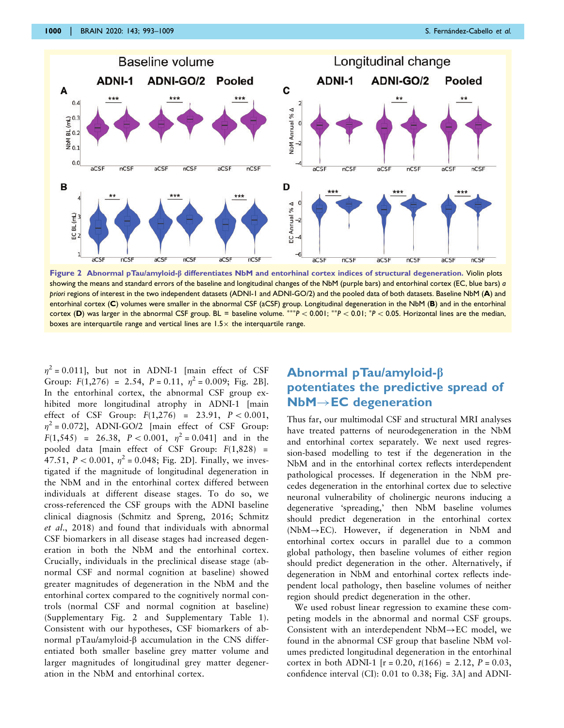<span id="page-7-0"></span>

Figure 2 Abnormal pTau/amyloid- $\beta$  differentiates NbM and entorhinal cortex indices of structural degeneration. Violin plots showing the means and standard errors of the baseline and longitudinal changes of the NbM (purple bars) and entorhinal cortex (EC, blue bars) a priori regions of interest in the two independent datasets (ADNI-1 and ADNI-GO/2) and the pooled data of both datasets. Baseline NbM (A) and entorhinal cortex (C) volumes were smaller in the abnormal CSF (aCSF) group. Longitudinal degeneration in the NbM (B) and in the entorhinal cortex (D) was larger in the abnormal CSF group. BL = baseline volume. \*\*\*P < 0.001; \*\*P < 0.01; \*P < 0.05. Horizontal lines are the median, boxes are interquartile range and vertical lines are  $1.5\times$  the interquartile range.

 $\eta^2$  = 0.011], but not in ADNI-1 [main effect of CSF Group:  $F(1,276) = 2.54$ ,  $P = 0.11$ ,  $\eta^2 = 0.009$ ; Fig. 2B]. In the entorhinal cortex, the abnormal CSF group exhibited more longitudinal atrophy in ADNI-1 [main effect of CSF Group:  $F(1,276) = 23.91$ ,  $P < 0.001$ ,  $\eta^2 = 0.072$ ], ADNI-GO/2 [main effect of CSF Group:  $F(1,545) = 26.38$ ,  $P < 0.001$ ,  $\eta^2 = 0.041$  and in the pooled data [main effect of CSF Group:  $F(1,828)$  = 47.51,  $P < 0.001$ ,  $\eta^2 = 0.048$ ; Fig. 2D]. Finally, we investigated if the magnitude of longitudinal degeneration in the NbM and in the entorhinal cortex differed between individuals at different disease stages. To do so, we cross-referenced the CSF groups with the ADNI baseline clinical diagnosis ([Schmitz and Spreng, 2016; Schmitz](#page-16-0) et al[., 2018](#page-16-0)) and found that individuals with abnormal CSF biomarkers in all disease stages had increased degeneration in both the NbM and the entorhinal cortex. Crucially, individuals in the preclinical disease stage (abnormal CSF and normal cognition at baseline) showed greater magnitudes of degeneration in the NbM and the entorhinal cortex compared to the cognitively normal controls (normal CSF and normal cognition at baseline) [\(Supplementary Fig. 2](https://academic.oup.com/brain/article-lookup/doi/10.1093/brain/awaa012#supplementary-data) and [Supplementary Table 1](https://academic.oup.com/brain/article-lookup/doi/10.1093/brain/awaa012#supplementary-data)). Consistent with our hypotheses, CSF biomarkers of abnormal pTau/amyloid-b accumulation in the CNS differentiated both smaller baseline grey matter volume and larger magnitudes of longitudinal grey matter degeneration in the NbM and entorhinal cortex.

## Abnormal pTau/amyloid-b potentiates the predictive spread of  $NbM \rightarrow EC$  degeneration

Thus far, our multimodal CSF and structural MRI analyses have treated patterns of neurodegeneration in the NbM and entorhinal cortex separately. We next used regression-based modelling to test if the degeneration in the NbM and in the entorhinal cortex reflects interdependent pathological processes. If degeneration in the NbM precedes degeneration in the entorhinal cortex due to selective neuronal vulnerability of cholinergic neurons inducing a degenerative 'spreading,' then NbM baseline volumes should predict degeneration in the entorhinal cortex ( $NbM \rightarrow EC$ ). However, if degeneration in NbM and entorhinal cortex occurs in parallel due to a common global pathology, then baseline volumes of either region should predict degeneration in the other. Alternatively, if degeneration in NbM and entorhinal cortex reflects independent local pathology, then baseline volumes of neither region should predict degeneration in the other.

We used robust linear regression to examine these competing models in the abnormal and normal CSF groups. Consistent with an interdependent  $NbM \rightarrow EC$  model, we found in the abnormal CSF group that baseline NbM volumes predicted longitudinal degeneration in the entorhinal cortex in both ADNI-1  $[r = 0.20, t(166) = 2.12, P = 0.03,$ confidence interval (CI): 0.01 to 0.38; [Fig. 3A](#page-8-0)] and ADNI-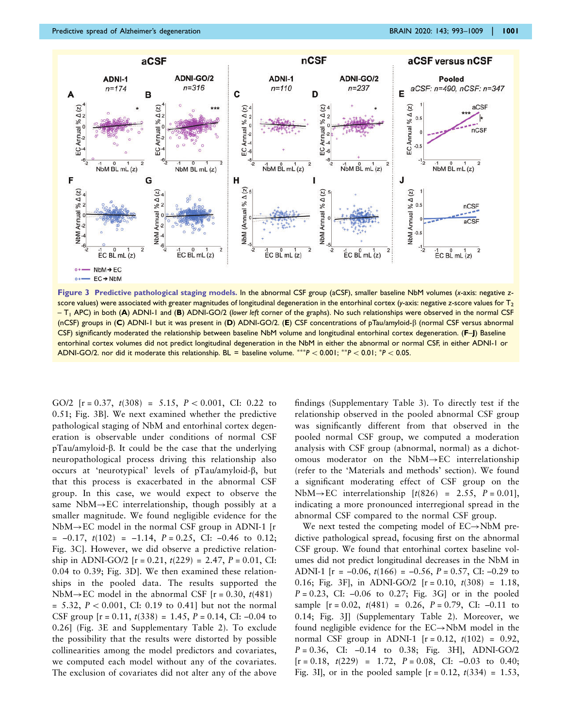<span id="page-8-0"></span>

Figure 3 Predictive pathological staging models. In the abnormal CSF group (aCSF), smaller baseline NbM volumes (x-axis: negative zscore values) were associated with greater magnitudes of longitudinal degeneration in the entorhinal cortex (y-axis: negative z-score values for  $T_2$  $-$  T<sub>1</sub> APC) in both (A) ADNI-1 and (B) ADNI-GO/2 (lower left corner of the graphs). No such relationships were observed in the normal CSF (nCSF) groups in (C) ADNI-1 but it was present in (D) ADNI-GO/2. (E) CSF concentrations of pTau/amyloid-b (normal CSF versus abnormal CSF) significantly moderated the relationship between baseline NbM volume and longitudinal entorhinal cortex degeneration. (F-J) Baseline entorhinal cortex volumes did not predict longitudinal degeneration in the NbM in either the abnormal or normal CSF, in either ADNI-1 or ADNI-GO/2. nor did it moderate this relationship. BL = baseline volume.  $***P < 0.001$ ;  $**P < 0.01$ ;  $*P < 0.05$ .

GO/2  $[r = 0.37, t(308) = 5.15, P < 0.001, CI: 0.22$  to 0.51; Fig. 3B]. We next examined whether the predictive pathological staging of NbM and entorhinal cortex degeneration is observable under conditions of normal CSF pTau/amyloid-b. It could be the case that the underlying neuropathological process driving this relationship also occurs at 'neurotypical' levels of pTau/amyloid-b, but that this process is exacerbated in the abnormal CSF group. In this case, we would expect to observe the same  $NbM \rightarrow EC$  interrelationship, though possibly at a smaller magnitude. We found negligible evidence for the  $NbM \rightarrow EC$  model in the normal CSF group in ADNI-1 [r  $= -0.17$ ,  $t(102) = -1.14$ ,  $P = 0.25$ , CI:  $-0.46$  to 0.12; Fig. 3C]. However, we did observe a predictive relationship in ADNI-GO/2  $[r = 0.21, t(229) = 2.47, P = 0.01, CI$ : 0.04 to 0.39; Fig. 3D]. We then examined these relationships in the pooled data. The results supported the  $NbM \rightarrow EC$  model in the abnormal CSF [r = 0.30, t(481)]  $= 5.32, P < 0.001, CI: 0.19$  to 0.41] but not the normal CSF group  $[r = 0.11, t(338) = 1.45, P = 0.14, CI: -0.04$  to 0.26] (Fig. 3E and [Supplementary Table 2](https://academic.oup.com/brain/article-lookup/doi/10.1093/brain/awaa012#supplementary-data)). To exclude the possibility that the results were distorted by possible collinearities among the model predictors and covariates, we computed each model without any of the covariates. The exclusion of covariates did not alter any of the above findings ([Supplementary Table 3](https://academic.oup.com/brain/article-lookup/doi/10.1093/brain/awaa012#supplementary-data)). To directly test if the relationship observed in the pooled abnormal CSF group was significantly different from that observed in the pooled normal CSF group, we computed a moderation analysis with CSF group (abnormal, normal) as a dichotomous moderator on the  $NbM \rightarrow EC$  interrelationship (refer to the 'Materials and methods' section). We found a significant moderating effect of CSF group on the  $NbM \rightarrow EC$  interrelationship  $[t(826) = 2.55, P = 0.01]$ , indicating a more pronounced interregional spread in the abnormal CSF compared to the normal CSF group.

We next tested the competing model of  $EC \rightarrow NbM$  predictive pathological spread, focusing first on the abnormal CSF group. We found that entorhinal cortex baseline volumes did not predict longitudinal decreases in the NbM in ADNI-1 [ $r = -0.06$ ,  $t(166) = -0.56$ ,  $P = 0.57$ , CI:  $-0.29$  to 0.16; Fig. 3F], in ADNI-GO/2  $[r = 0.10, t(308) = 1.18,$  $P = 0.23$ , CI:  $-0.06$  to 0.27; Fig. 3G or in the pooled sample  $[r = 0.02, t(481) = 0.26, P = 0.79, CI: -0.11$  to 0.14; Fig. 3J] ([Supplementary Table 2\)](https://academic.oup.com/brain/article-lookup/doi/10.1093/brain/awaa012#supplementary-data). Moreover, we found negligible evidence for the  $EC \rightarrow NbM$  model in the normal CSF group in ADNI-1  $[r = 0.12, t(102) = 0.92,$  $P = 0.36$ , CI:  $-0.14$  to 0.38; Fig. 3H, ADNI-GO/2  $[r = 0.18, t(229) = 1.72, P = 0.08, CI: -0.03$  to 0.40; Fig. 3I], or in the pooled sample  $[r = 0.12, t(334) = 1.53,$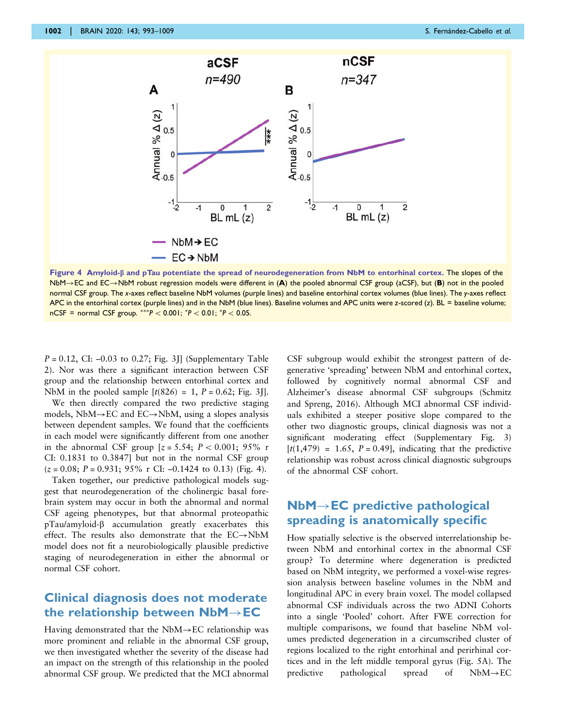

Figure 4 Amyloid- $\beta$  and pTau potentiate the spread of neurodegeneration from NbM to entorhinal cortex. The slopes of the  $N$ bM $\rightarrow$ EC and EC $\rightarrow$ NbM robust regression models were different in (A) the pooled abnormal CSF group (aCSF), but (B) not in the pooled normal CSF group. The x-axes reflect baseline NbM volumes (purple lines) and baseline entorhinal cortex volumes (blue lines). The y-axes reflect APC in the entorhinal cortex (purple lines) and in the NbM (blue lines). Baseline volumes and APC units were z-scored (z). BL = baseline volume;  $nCSF = normal CSF group.$  \*\*\* $P < 0.001$ ; \* $P < 0.01$ ; \* $P < 0.05$ .

 $P = 0.12$ , CI:  $-0.03$  to 0.27; Fig. 3II [\(Supplementary Table](https://academic.oup.com/brain/article-lookup/doi/10.1093/brain/awaa012#supplementary-data) [2](https://academic.oup.com/brain/article-lookup/doi/10.1093/brain/awaa012#supplementary-data)). Nor was there a significant interaction between CSF group and the relationship between entorhinal cortex and NbM in the pooled sample  $[t(826) = 1, P = 0.62; Fig. 3]$ .

We then directly compared the two predictive staging models, NbM $\rightarrow$ EC and EC $\rightarrow$ NbM, using a slopes analysis between dependent samples. We found that the coefficients in each model were significantly different from one another in the abnormal CSF group  $[z = 5.54; P < 0.001; 95\%$  r CI: 0.1831 to 0.3847] but not in the normal CSF group  $(z = 0.08; P = 0.931; 95\%$  r CI: -0.1424 to 0.13) (Fig. 4).

Taken together, our predictive pathological models suggest that neurodegeneration of the cholinergic basal forebrain system may occur in both the abnormal and normal CSF ageing phenotypes, but that abnormal proteopathic pTau/amyloid-b accumulation greatly exacerbates this effect. The results also demonstrate that the  $EC \rightarrow NbM$ model does not fit a neurobiologically plausible predictive staging of neurodegeneration in either the abnormal or normal CSF cohort.

## Clinical diagnosis does not moderate the relationship between  $NbM \rightarrow EC$

Having demonstrated that the  $NbM \rightarrow EC$  relationship was more prominent and reliable in the abnormal CSF group, we then investigated whether the severity of the disease had an impact on the strength of this relationship in the pooled abnormal CSF group. We predicted that the MCI abnormal CSF subgroup would exhibit the strongest pattern of degenerative 'spreading' between NbM and entorhinal cortex, followed by cognitively normal abnormal CSF and Alzheimer's disease abnormal CSF subgroups [\(Schmitz](#page-16-0) [and Spreng, 2016](#page-16-0)). Although MCI abnormal CSF individuals exhibited a steeper positive slope compared to the other two diagnostic groups, clinical diagnosis was not a significant moderating effect ([Supplementary Fig. 3\)](https://academic.oup.com/brain/article-lookup/doi/10.1093/brain/awaa012#supplementary-data)  $[t(1, 479) = 1.65, P = 0.49]$ , indicating that the predictive relationship was robust across clinical diagnostic subgroups of the abnormal CSF cohort.

## $NbM \rightarrow EC$  predictive pathological spreading is anatomically specific

How spatially selective is the observed interrelationship between NbM and entorhinal cortex in the abnormal CSF group? To determine where degeneration is predicted based on NbM integrity, we performed a voxel-wise regression analysis between baseline volumes in the NbM and longitudinal APC in every brain voxel. The model collapsed abnormal CSF individuals across the two ADNI Cohorts into a single 'Pooled' cohort. After FWE correction for multiple comparisons, we found that baseline NbM volumes predicted degeneration in a circumscribed cluster of regions localized to the right entorhinal and perirhinal cortices and in the left middle temporal gyrus ([Fig. 5A\)](#page-10-0). The predictive pathological spread of  $NbM \rightarrow EC$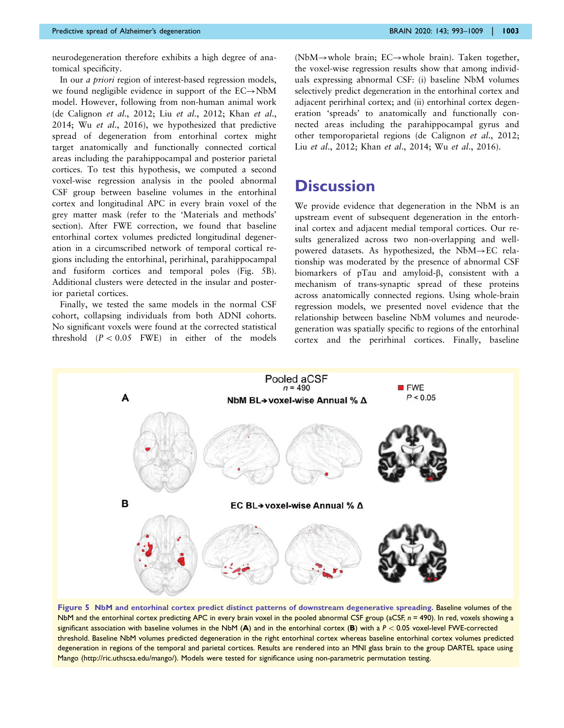<span id="page-10-0"></span>neurodegeneration therefore exhibits a high degree of anatomical specificity.

In our a priori region of interest-based regression models, we found negligible evidence in support of the  $EC \rightarrow NbM$ model. However, following from non-human animal work ([de Calignon](#page-14-0) et al., 2012; Liu et al[., 2012; Khan](#page-15-0) et al., [2014;](#page-15-0) Wu et al[., 2016](#page-16-0)), we hypothesized that predictive spread of degeneration from entorhinal cortex might target anatomically and functionally connected cortical areas including the parahippocampal and posterior parietal cortices. To test this hypothesis, we computed a second voxel-wise regression analysis in the pooled abnormal CSF group between baseline volumes in the entorhinal cortex and longitudinal APC in every brain voxel of the grey matter mask (refer to the 'Materials and methods' section). After FWE correction, we found that baseline entorhinal cortex volumes predicted longitudinal degeneration in a circumscribed network of temporal cortical regions including the entorhinal, perirhinal, parahippocampal and fusiform cortices and temporal poles (Fig. 5B). Additional clusters were detected in the insular and posterior parietal cortices.

Finally, we tested the same models in the normal CSF cohort, collapsing individuals from both ADNI cohorts. No significant voxels were found at the corrected statistical threshold  $(P < 0.05$  FWE) in either of the models (NbM $\rightarrow$ whole brain; EC $\rightarrow$ whole brain). Taken together, the voxel-wise regression results show that among individuals expressing abnormal CSF: (i) baseline NbM volumes selectively predict degeneration in the entorhinal cortex and adjacent perirhinal cortex; and (ii) entorhinal cortex degeneration 'spreads' to anatomically and functionally connected areas including the parahippocampal gyrus and other temporoparietal regions [\(de Calignon](#page-14-0) et al., 2012; Liu et al[., 2012;](#page-15-0) Khan et al[., 2014](#page-15-0); Wu et al[., 2016](#page-16-0)).

## **Discussion**

We provide evidence that degeneration in the NbM is an upstream event of subsequent degeneration in the entorhinal cortex and adjacent medial temporal cortices. Our results generalized across two non-overlapping and wellpowered datasets. As hypothesized, the  $NbM \rightarrow EC$  relationship was moderated by the presence of abnormal CSF biomarkers of pTau and amyloid-b, consistent with a mechanism of trans-synaptic spread of these proteins across anatomically connected regions. Using whole-brain regression models, we presented novel evidence that the relationship between baseline NbM volumes and neurodegeneration was spatially specific to regions of the entorhinal cortex and the perirhinal cortices. Finally, baseline



Figure 5 NbM and entorhinal cortex predict distinct patterns of downstream degenerative spreading. Baseline volumes of the NbM and the entorhinal cortex predicting APC in every brain voxel in the pooled abnormal CSF group (aCSF,  $n = 490$ ). In red, voxels showing a significant association with baseline volumes in the NbM (A) and in the entorhinal cortex (B) with a  $P < 0.05$  voxel-level FWE-corrected threshold. Baseline NbM volumes predicted degeneration in the right entorhinal cortex whereas baseline entorhinal cortex volumes predicted degeneration in regions of the temporal and parietal cortices. Results are rendered into an MNI glass brain to the group DARTEL space using Mango ([http://ric.uthscsa.edu/mango/\)](http://ric.uthscsa.edu/mango/). Models were tested for significance using non-parametric permutation testing.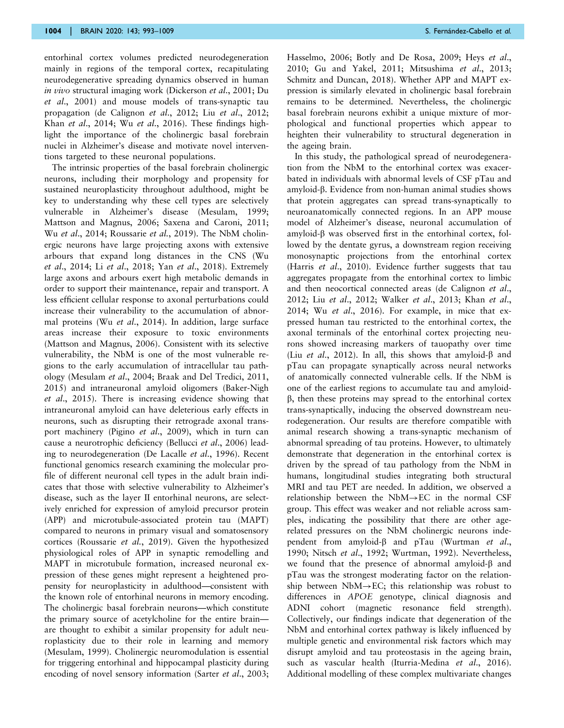entorhinal cortex volumes predicted neurodegeneration mainly in regions of the temporal cortex, recapitulating neurodegenerative spreading dynamics observed in human in vivo structural imaging work ([Dickerson](#page-14-0) et al., 2001; [Du](#page-14-0) et al[., 2001\)](#page-14-0) and mouse models of trans-synaptic tau propagation ([de Calignon](#page-14-0) et al., 2012; Liu et al[., 2012;](#page-15-0) Khan et al[., 2014](#page-15-0); Wu et al[., 2016\)](#page-16-0). These findings highlight the importance of the cholinergic basal forebrain nuclei in Alzheimer's disease and motivate novel interventions targeted to these neuronal populations.

The intrinsic properties of the basal forebrain cholinergic neurons, including their morphology and propensity for sustained neuroplasticity throughout adulthood, might be key to understanding why these cell types are selectively vulnerable in Alzheimer's disease [\(Mesulam, 1999;](#page-15-0) [Mattson and Magnus, 2006](#page-15-0); [Saxena and Caroni, 2011;](#page-16-0) Wu et al[., 2014; Roussarie](#page-16-0) et al., 2019). The NbM cholinergic neurons have large projecting axons with extensive arbours that expand long distances in the CNS [\(Wu](#page-16-0) et al[., 2014;](#page-16-0) Li et al[., 2018;](#page-15-0) Yan et al[., 2018](#page-16-0)). Extremely large axons and arbours exert high metabolic demands in order to support their maintenance, repair and transport. A less efficient cellular response to axonal perturbations could increase their vulnerability to the accumulation of abnormal proteins (Wu et al[., 2014](#page-16-0)). In addition, large surface areas increase their exposure to toxic environments [\(Mattson and Magnus, 2006](#page-15-0)). Consistent with its selective vulnerability, the NbM is one of the most vulnerable regions to the early accumulation of intracellular tau pathology [\(Mesulam](#page-15-0) et al., 2004; [Braak and Del Tredici, 2011,](#page-14-0) [2015](#page-14-0)) and intraneuronal amyloid oligomers [\(Baker-Nigh](#page-14-0) et al[., 2015\)](#page-14-0). There is increasing evidence showing that intraneuronal amyloid can have deleterious early effects in neurons, such as disrupting their retrograde axonal trans-port machinery (Pigino et al[., 2009](#page-16-0)), which in turn can cause a neurotrophic deficiency ([Bellucci](#page-14-0) et al., 2006) leading to neurodegeneration [\(De Lacalle](#page-14-0) et al., 1996). Recent functional genomics research examining the molecular profile of different neuronal cell types in the adult brain indicates that those with selective vulnerability to Alzheimer's disease, such as the layer II entorhinal neurons, are selectively enriched for expression of amyloid precursor protein (APP) and microtubule-associated protein tau (MAPT) compared to neurons in primary visual and somatosensory cortices ([Roussarie](#page-16-0) et al., 2019). Given the hypothesized physiological roles of APP in synaptic remodelling and MAPT in microtubule formation, increased neuronal expression of these genes might represent a heightened propensity for neuroplasticity in adulthood—consistent with the known role of entorhinal neurons in memory encoding. The cholinergic basal forebrain neurons—which constitute the primary source of acetylcholine for the entire brain are thought to exhibit a similar propensity for adult neuroplasticity due to their role in learning and memory [\(Mesulam, 1999\)](#page-15-0). Cholinergic neuromodulation is essential for triggering entorhinal and hippocampal plasticity during encoding of novel sensory information (Sarter *et al.*, 2003; [Hasselmo, 2006](#page-15-0); [Botly and De Rosa, 2009;](#page-14-0) [Heys](#page-15-0) et al., [2010;](#page-15-0) [Gu and Yakel, 2011](#page-14-0); [Mitsushima](#page-15-0) et al., 2013; [Schmitz and Duncan, 2018\)](#page-16-0). Whether APP and MAPT expression is similarly elevated in cholinergic basal forebrain remains to be determined. Nevertheless, the cholinergic basal forebrain neurons exhibit a unique mixture of morphological and functional properties which appear to heighten their vulnerability to structural degeneration in the ageing brain.

In this study, the pathological spread of neurodegeneration from the NbM to the entorhinal cortex was exacerbated in individuals with abnormal levels of CSF pTau and amyloid-b. Evidence from non-human animal studies shows that protein aggregates can spread trans-synaptically to neuroanatomically connected regions. In an APP mouse model of Alzheimer's disease, neuronal accumulation of amyloid- $\beta$  was observed first in the entorhinal cortex, followed by the dentate gyrus, a downstream region receiving monosynaptic projections from the entorhinal cortex (Harris et al[., 2010\)](#page-14-0). Evidence further suggests that tau aggregates propagate from the entorhinal cortex to limbic and then neocortical connected areas ([de Calignon](#page-14-0) et al., [2012;](#page-14-0) Liu et al[., 2012;](#page-15-0) Walker et al[., 2013](#page-16-0); [Khan](#page-15-0) et al., [2014;](#page-15-0) Wu et al[., 2016](#page-16-0)). For example, in mice that expressed human tau restricted to the entorhinal cortex, the axonal terminals of the entorhinal cortex projecting neurons showed increasing markers of tauopathy over time (Liu et al[., 2012\)](#page-15-0). In all, this shows that amyloid- $\beta$  and pTau can propagate synaptically across neural networks of anatomically connected vulnerable cells. If the NbM is one of the earliest regions to accumulate tau and amyloid- $\beta$ , then these proteins may spread to the entorhinal cortex trans-synaptically, inducing the observed downstream neurodegeneration. Our results are therefore compatible with animal research showing a trans-synaptic mechanism of abnormal spreading of tau proteins. However, to ultimately demonstrate that degeneration in the entorhinal cortex is driven by the spread of tau pathology from the NbM in humans, longitudinal studies integrating both structural MRI and tau PET are needed. In addition, we observed a relationship between the  $NbM \rightarrow EC$  in the normal CSF group. This effect was weaker and not reliable across samples, indicating the possibility that there are other agerelated pressures on the NbM cholinergic neurons independent from amyloid- $\beta$  and pTau [\(Wurtman](#page-16-0) et al., [1990;](#page-16-0) Nitsch et al[., 1992](#page-15-0); [Wurtman, 1992\)](#page-16-0). Nevertheless, we found that the presence of abnormal amyloid- $\beta$  and pTau was the strongest moderating factor on the relationship between  $NbM \rightarrow EC$ ; this relationship was robust to differences in APOE genotype, clinical diagnosis and ADNI cohort (magnetic resonance field strength). Collectively, our findings indicate that degeneration of the NbM and entorhinal cortex pathway is likely influenced by multiple genetic and environmental risk factors which may disrupt amyloid and tau proteostasis in the ageing brain, such as vascular health [\(Iturria-Medina](#page-15-0) et al., 2016). Additional modelling of these complex multivariate changes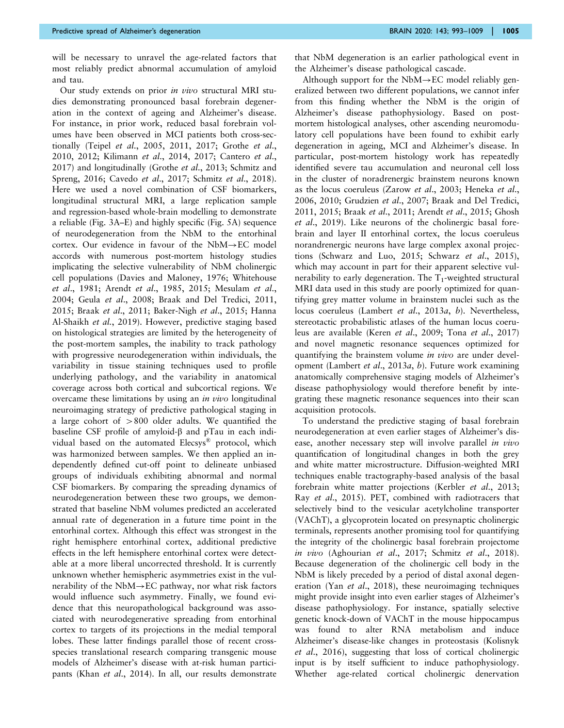will be necessary to unravel the age-related factors that most reliably predict abnormal accumulation of amyloid and tau.

Our study extends on prior in vivo structural MRI studies demonstrating pronounced basal forebrain degeneration in the context of ageing and Alzheimer's disease. For instance, in prior work, reduced basal forebrain volumes have been observed in MCI patients both cross-sectionally (Teipel et al[., 2005, 2011](#page-16-0), [2017](#page-16-0); [Grothe](#page-14-0) et al., [2010, 2012;](#page-14-0) [Kilimann](#page-15-0) et al., 2014, [2017](#page-15-0); [Cantero](#page-14-0) et al., [2017\)](#page-14-0) and longitudinally (Grothe et al[., 2013](#page-14-0); [Schmitz and](#page-16-0) [Spreng, 2016](#page-16-0); [Cavedo](#page-14-0) et al., 2017; [Schmitz](#page-16-0) et al., 2018). Here we used a novel combination of CSF biomarkers, longitudinal structural MRI, a large replication sample and regression-based whole-brain modelling to demonstrate a reliable [\(Fig. 3A–E\)](#page-8-0) and highly specific [\(Fig. 5A\)](#page-10-0) sequence of neurodegeneration from the NbM to the entorhinal cortex. Our evidence in favour of the  $NbM \rightarrow EC$  model accords with numerous post-mortem histology studies implicating the selective vulnerability of NbM cholinergic cell populations [\(Davies and Maloney, 1976;](#page-14-0) [Whitehouse](#page-16-0) et al[., 1981](#page-16-0); Arendt et al[., 1985,](#page-13-0) [2015](#page-14-0); [Mesulam](#page-15-0) et al., [2004;](#page-15-0) Geula et al[., 2008; Braak and Del Tredici, 2011](#page-14-0), [2015;](#page-14-0) Braak et al[., 2011; Baker-Nigh](#page-14-0) et al., 2015; [Hanna](#page-14-0) [Al-Shaikh](#page-14-0) et al., 2019). However, predictive staging based on histological strategies are limited by the heterogeneity of the post-mortem samples, the inability to track pathology with progressive neurodegeneration within individuals, the variability in tissue staining techniques used to profile underlying pathology, and the variability in anatomical coverage across both cortical and subcortical regions. We overcame these limitations by using an in vivo longitudinal neuroimaging strategy of predictive pathological staging in a large cohort of  $>800$  older adults. We quantified the baseline CSF profile of amyloid- $\beta$  and pTau in each individual based on the automated Elecsys® protocol, which was harmonized between samples. We then applied an independently defined cut-off point to delineate unbiased groups of individuals exhibiting abnormal and normal CSF biomarkers. By comparing the spreading dynamics of neurodegeneration between these two groups, we demonstrated that baseline NbM volumes predicted an accelerated annual rate of degeneration in a future time point in the entorhinal cortex. Although this effect was strongest in the right hemisphere entorhinal cortex, additional predictive effects in the left hemisphere entorhinal cortex were detectable at a more liberal uncorrected threshold. It is currently unknown whether hemispheric asymmetries exist in the vulnerability of the NbM $\rightarrow$ EC pathway, nor what risk factors would influence such asymmetry. Finally, we found evidence that this neuropathological background was associated with neurodegenerative spreading from entorhinal cortex to targets of its projections in the medial temporal lobes. These latter findings parallel those of recent crossspecies translational research comparing transgenic mouse models of Alzheimer's disease with at-risk human partici-pants (Khan et al[., 2014](#page-15-0)). In all, our results demonstrate

that NbM degeneration is an earlier pathological event in the Alzheimer's disease pathological cascade.

Although support for the  $NbM \rightarrow EC$  model reliably generalized between two different populations, we cannot infer from this finding whether the NbM is the origin of Alzheimer's disease pathophysiology. Based on postmortem histological analyses, other ascending neuromodulatory cell populations have been found to exhibit early degeneration in ageing, MCI and Alzheimer's disease. In particular, post-mortem histology work has repeatedly identified severe tau accumulation and neuronal cell loss in the cluster of noradrenergic brainstem neurons known as the locus coeruleus (Zarow et al[., 2003](#page-16-0); [Heneka](#page-15-0) et al., [2006](#page-15-0), [2010;](#page-15-0) [Grudzien](#page-14-0) et al., 2007; [Braak and Del Tredici,](#page-14-0) [2011](#page-14-0), [2015](#page-14-0); Braak et al[., 2011](#page-14-0); Arendt et al[., 2015](#page-14-0); [Ghosh](#page-14-0) et al[., 2019\)](#page-14-0). Like neurons of the cholinergic basal forebrain and layer II entorhinal cortex, the locus coeruleus norandrenergic neurons have large complex axonal projections ([Schwarz and Luo, 2015; Schwarz](#page-16-0) et al., 2015), which may account in part for their apparent selective vulnerability to early degeneration. The  $T_1$ -weighted structural MRI data used in this study are poorly optimized for quantifying grey matter volume in brainstem nuclei such as the locus coeruleus ([Lambert](#page-15-0) et al., 2013a, [b](#page-15-0)). Nevertheless, stereotactic probabilistic atlases of the human locus coeruleus are available (Keren et al[., 2009](#page-15-0); Tona et al[., 2017](#page-16-0)) and novel magnetic resonance sequences optimized for quantifying the brainstem volume *in vivo* are under development ([Lambert](#page-15-0) et al., 2013a, [b](#page-15-0)). Future work examining anatomically comprehensive staging models of Alzheimer's disease pathophysiology would therefore benefit by integrating these magnetic resonance sequences into their scan acquisition protocols.

To understand the predictive staging of basal forebrain neurodegeneration at even earlier stages of Alzheimer's disease, another necessary step will involve parallel *in vivo* quantification of longitudinal changes in both the grey and white matter microstructure. Diffusion-weighted MRI techniques enable tractography-based analysis of the basal forebrain white matter projections (Kerbler et al[., 2013;](#page-15-0) Ray et al[., 2015](#page-16-0)). PET, combined with radiotracers that selectively bind to the vesicular acetylcholine transporter (VAChT), a glycoprotein located on presynaptic cholinergic terminals, represents another promising tool for quantifying the integrity of the cholinergic basal forebrain projectome in vivo [\(Aghourian](#page-13-0) et al., 2017; Schmitz et al[., 2018\)](#page-16-0). Because degeneration of the cholinergic cell body in the NbM is likely preceded by a period of distal axonal degeneration (Yan et al[., 2018](#page-16-0)), these neuroimaging techniques might provide insight into even earlier stages of Alzheimer's disease pathophysiology. For instance, spatially selective genetic knock-down of VAChT in the mouse hippocampus was found to alter RNA metabolism and induce Alzheimer's disease-like changes in proteostasis [\(Kolisnyk](#page-15-0) et al[., 2016\)](#page-15-0), suggesting that loss of cortical cholinergic input is by itself sufficient to induce pathophysiology. Whether age-related cortical cholinergic denervation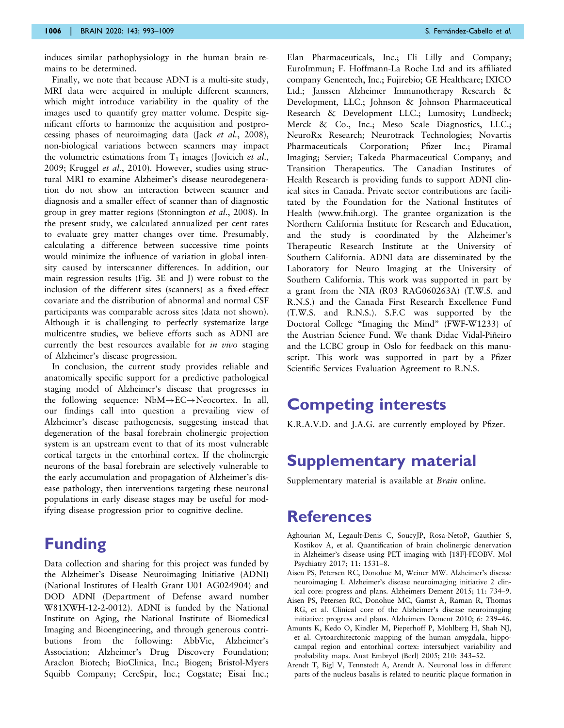<span id="page-13-0"></span>induces similar pathophysiology in the human brain remains to be determined.

Finally, we note that because ADNI is a multi-site study, MRI data were acquired in multiple different scanners, which might introduce variability in the quality of the images used to quantify grey matter volume. Despite significant efforts to harmonize the acquisition and postprocessing phases of neuroimaging data (Jack et al.[, 2008\)](#page-15-0), non-biological variations between scanners may impact the volumetric estimations from  $T_1$  images ([Jovicich](#page-15-0) *et al.*, [2009](#page-15-0); [Kruggel](#page-15-0) et al., 2010). However, studies using structural MRI to examine Alzheimer's disease neurodegeneration do not show an interaction between scanner and diagnosis and a smaller effect of scanner than of diagnostic group in grey matter regions ([Stonnington](#page-16-0) et al., 2008). In the present study, we calculated annualized per cent rates to evaluate grey matter changes over time. Presumably, calculating a difference between successive time points would minimize the influence of variation in global intensity caused by interscanner differences. In addition, our main regression results [\(Fig. 3E and J](#page-8-0)) were robust to the inclusion of the different sites (scanners) as a fixed-effect covariate and the distribution of abnormal and normal CSF participants was comparable across sites (data not shown). Although it is challenging to perfectly systematize large multicentre studies, we believe efforts such as ADNI are currently the best resources available for *in vivo* staging of Alzheimer's disease progression.

In conclusion, the current study provides reliable and anatomically specific support for a predictive pathological staging model of Alzheimer's disease that progresses in the following sequence:  $NbM \rightarrow EC \rightarrow Neocortex$ . In all, our findings call into question a prevailing view of Alzheimer's disease pathogenesis, suggesting instead that degeneration of the basal forebrain cholinergic projection system is an upstream event to that of its most vulnerable cortical targets in the entorhinal cortex. If the cholinergic neurons of the basal forebrain are selectively vulnerable to the early accumulation and propagation of Alzheimer's disease pathology, then interventions targeting these neuronal populations in early disease stages may be useful for modifying disease progression prior to cognitive decline.

## Funding

Data collection and sharing for this project was funded by the Alzheimer's Disease Neuroimaging Initiative (ADNI) (National Institutes of Health Grant U01 AG024904) and DOD ADNI (Department of Defense award number W81XWH-12-2-0012). ADNI is funded by the National Institute on Aging, the National Institute of Biomedical Imaging and Bioengineering, and through generous contributions from the following: AbbVie, Alzheimer's Association; Alzheimer's Drug Discovery Foundation; Araclon Biotech; BioClinica, Inc.; Biogen; Bristol-Myers Squibb Company; CereSpir, Inc.; Cogstate; Eisai Inc.;

Elan Pharmaceuticals, Inc.; Eli Lilly and Company; EuroImmun; F. Hoffmann-La Roche Ltd and its affiliated company Genentech, Inc.; Fujirebio; GE Healthcare; IXICO Ltd.; Janssen Alzheimer Immunotherapy Research & Development, LLC.; Johnson & Johnson Pharmaceutical Research & Development LLC.; Lumosity; Lundbeck; Merck & Co., Inc.; Meso Scale Diagnostics, LLC.; NeuroRx Research; Neurotrack Technologies; Novartis Pharmaceuticals Corporation; Pfizer Inc.; Piramal Imaging; Servier; Takeda Pharmaceutical Company; and Transition Therapeutics. The Canadian Institutes of Health Research is providing funds to support ADNI clinical sites in Canada. Private sector contributions are facilitated by the Foundation for the National Institutes of Health ([www.fnih.org](http://www.fnih.org)). The grantee organization is the Northern California Institute for Research and Education, and the study is coordinated by the Alzheimer's Therapeutic Research Institute at the University of Southern California. ADNI data are disseminated by the Laboratory for Neuro Imaging at the University of Southern California. This work was supported in part by a grant from the NIA (R03 RAG060263A) (T.W.S. and R.N.S.) and the Canada First Research Excellence Fund (T.W.S. and R.N.S.). S.F.C was supported by the Doctoral College "Imaging the Mind" (FWF-W1233) of the Austrian Science Fund. We thank Didac Vidal-Piñeiro and the LCBC group in Oslo for feedback on this manuscript. This work was supported in part by a Pfizer Scientific Services Evaluation Agreement to R.N.S.

## Competing interests

K.R.A.V.D. and J.A.G. are currently employed by Pfizer.

## Supplementary material

[Supplementary material](https://academic.oup.com/brain/article-lookup/doi/10.1093/brain/awaa012#supplementary-data) is available at Brain online.

## References

- Aghourian M, Legault-Denis C, SoucyJP, Rosa-NetoP, Gauthier S, Kostikov A, et al. Quantification of brain cholinergic denervation in Alzheimer's disease using PET imaging with [18F]-FEOBV. Mol Psychiatry 2017; 11: 1531–8.
- Aisen PS, Petersen RC, Donohue M, Weiner MW. Alzheimer's disease neuroimaging I. Alzheimer's disease neuroimaging initiative 2 clinical core: progress and plans. Alzheimers Dement 2015; 11: 734–9.
- Aisen PS, Petersen RC, Donohue MC, Gamst A, Raman R, Thomas RG, et al. Clinical core of the Alzheimer's disease neuroimaging initiative: progress and plans. Alzheimers Dement 2010; 6: 239–46.
- Amunts K, Kedo O, Kindler M, Pieperhoff P, Mohlberg H, Shah NJ, et al. Cytoarchitectonic mapping of the human amygdala, hippocampal region and entorhinal cortex: intersubject variability and probability maps. Anat Embryol (Berl) 2005; 210: 343–52.
- Arendt T, Bigl V, Tennstedt A, Arendt A. Neuronal loss in different parts of the nucleus basalis is related to neuritic plaque formation in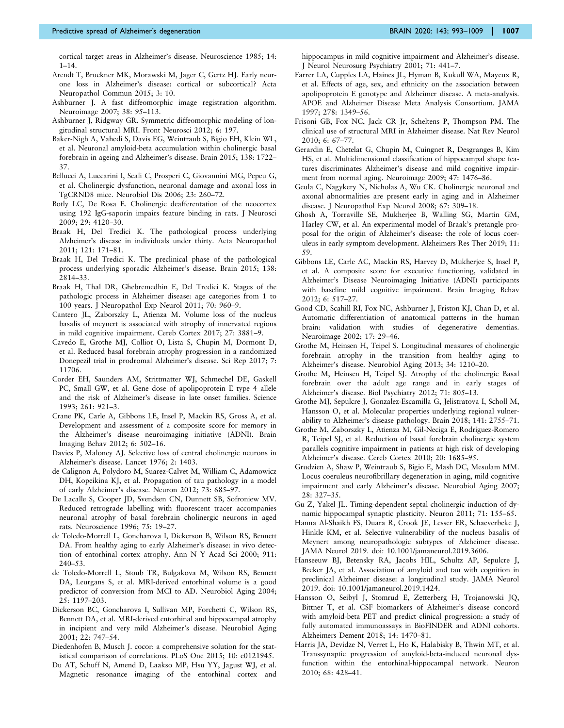<span id="page-14-0"></span>cortical target areas in Alzheimer's disease. Neuroscience 1985; 14:  $1 - 14$ .

- Arendt T, Bruckner MK, Morawski M, Jager C, Gertz HJ. Early neurone loss in Alzheimer's disease: cortical or subcortical? Acta Neuropathol Commun 2015; 3: 10.
- Ashburner J. A fast diffeomorphic image registration algorithm. Neuroimage 2007; 38: 95–113.
- Ashburner J, Ridgway GR. Symmetric diffeomorphic modeling of longitudinal structural MRI. Front Neurosci 2012; 6: 197.
- Baker-Nigh A, Vahedi S, Davis EG, Weintraub S, Bigio EH, Klein WL, et al. Neuronal amyloid-beta accumulation within cholinergic basal forebrain in ageing and Alzheimer's disease. Brain 2015; 138: 1722– 37.
- Bellucci A, Luccarini I, Scali C, Prosperi C, Giovannini MG, Pepeu G, et al. Cholinergic dysfunction, neuronal damage and axonal loss in TgCRND8 mice. Neurobiol Dis 2006; 23: 260–72.
- Botly LC, De Rosa E. Cholinergic deafferentation of the neocortex using 192 IgG-saporin impairs feature binding in rats. J Neurosci 2009; 29: 4120–30.
- Braak H, Del Tredici K. The pathological process underlying Alzheimer's disease in individuals under thirty. Acta Neuropathol 2011; 121: 171–81.
- Braak H, Del Tredici K. The preclinical phase of the pathological process underlying sporadic Alzheimer's disease. Brain 2015; 138: 2814–33.
- Braak H, Thal DR, Ghebremedhin E, Del Tredici K. Stages of the pathologic process in Alzheimer disease: age categories from 1 to 100 years. J Neuropathol Exp Neurol 2011; 70: 960–9.
- Cantero JL, Zaborszky L, Atienza M. Volume loss of the nucleus basalis of meynert is associated with atrophy of innervated regions in mild cognitive impairment. Cereb Cortex 2017; 27: 3881–9.
- Cavedo E, Grothe MJ, Colliot O, Lista S, Chupin M, Dormont D, et al. Reduced basal forebrain atrophy progression in a randomized Donepezil trial in prodromal Alzheimer's disease. Sci Rep 2017; 7: 11706.
- Corder EH, Saunders AM, Strittmatter WJ, Schmechel DE, Gaskell PC, Small GW, et al. Gene dose of apolipoprotein E type 4 allele and the risk of Alzheimer's disease in late onset families. Science 1993; 261: 921–3.
- Crane PK, Carle A, Gibbons LE, Insel P, Mackin RS, Gross A, et al. Development and assessment of a composite score for memory in the Alzheimer's disease neuroimaging initiative (ADNI). Brain Imaging Behav 2012; 6: 502–16.
- Davies P, Maloney AJ. Selective loss of central cholinergic neurons in Alzheimer's disease. Lancet 1976; 2: 1403.
- de Calignon A, Polydoro M, Suarez-Calvet M, William C, Adamowicz DH, Kopeikina KJ, et al. Propagation of tau pathology in a model of early Alzheimer's disease. Neuron 2012; 73: 685–97.
- De Lacalle S, Cooper JD, Svendsen CN, Dunnett SB, Sofroniew MV. Reduced retrograde labelling with fluorescent tracer accompanies neuronal atrophy of basal forebrain cholinergic neurons in aged rats. Neuroscience 1996; 75: 19–27.
- de Toledo-Morrell L, Goncharova I, Dickerson B, Wilson RS, Bennett DA. From healthy aging to early Alzheimer's disease: in vivo detection of entorhinal cortex atrophy. Ann N Y Acad Sci 2000; 911: 240–53.
- de Toledo-Morrell L, Stoub TR, Bulgakova M, Wilson RS, Bennett DA, Leurgans S, et al. MRI-derived entorhinal volume is a good predictor of conversion from MCI to AD. Neurobiol Aging 2004; 25: 1197–203.
- Dickerson BC, Goncharova I, Sullivan MP, Forchetti C, Wilson RS, Bennett DA, et al. MRI-derived entorhinal and hippocampal atrophy in incipient and very mild Alzheimer's disease. Neurobiol Aging 2001; 22: 747–54.
- Diedenhofen B, Musch J. cocor: a comprehensive solution for the statistical comparison of correlations. PLoS One 2015; 10: e0121945.
- Du AT, Schuff N, Amend D, Laakso MP, Hsu YY, Jagust WJ, et al. Magnetic resonance imaging of the entorhinal cortex and

hippocampus in mild cognitive impairment and Alzheimer's disease. J Neurol Neurosurg Psychiatry 2001; 71: 441–7.

- Farrer LA, Cupples LA, Haines JL, Hyman B, Kukull WA, Mayeux R, et al. Effects of age, sex, and ethnicity on the association between apolipoprotein E genotype and Alzheimer disease. A meta-analysis. APOE and Alzheimer Disease Meta Analysis Consortium. JAMA 1997; 278: 1349–56.
- Frisoni GB, Fox NC, Jack CR Jr, Scheltens P, Thompson PM. The clinical use of structural MRI in Alzheimer disease. Nat Rev Neurol 2010; 6: 67–77.
- Gerardin E, Chetelat G, Chupin M, Cuingnet R, Desgranges B, Kim HS, et al. Multidimensional classification of hippocampal shape features discriminates Alzheimer's disease and mild cognitive impairment from normal aging. Neuroimage 2009; 47: 1476–86.
- Geula C, Nagykery N, Nicholas A, Wu CK. Cholinergic neuronal and axonal abnormalities are present early in aging and in Alzheimer disease. J Neuropathol Exp Neurol 2008; 67: 309–18.
- Ghosh A, Torraville SE, Mukherjee B, Walling SG, Martin GM, Harley CW, et al. An experimental model of Braak's pretangle proposal for the origin of Alzheimer's disease: the role of locus coeruleus in early symptom development. Alzheimers Res Ther 2019; 11: 59.
- Gibbons LE, Carle AC, Mackin RS, Harvey D, Mukherjee S, Insel P, et al. A composite score for executive functioning, validated in Alzheimer's Disease Neuroimaging Initiative (ADNI) participants with baseline mild cognitive impairment. Brain Imaging Behav 2012; 6: 517–27.
- Good CD, Scahill RI, Fox NC, Ashburner J, Friston KJ, Chan D, et al. Automatic differentiation of anatomical patterns in the human brain: validation with studies of degenerative dementias. Neuroimage 2002; 17: 29–46.
- Grothe M, Heinsen H, Teipel S. Longitudinal measures of cholinergic forebrain atrophy in the transition from healthy aging to Alzheimer's disease. Neurobiol Aging 2013; 34: 1210–20.
- Grothe M, Heinsen H, Teipel SJ. Atrophy of the cholinergic Basal forebrain over the adult age range and in early stages of Alzheimer's disease. Biol Psychiatry 2012; 71: 805–13.
- Grothe MJ, Sepulcre J, Gonzalez-Escamilla G, Jelistratova I, Scholl M, Hansson O, et al. Molecular properties underlying regional vulnerability to Alzheimer's disease pathology. Brain 2018; 141: 2755–71.
- Grothe M, Zaborszky L, Atienza M, Gil-Neciga E, Rodriguez-Romero R, Teipel SJ, et al. Reduction of basal forebrain cholinergic system parallels cognitive impairment in patients at high risk of developing Alzheimer's disease. Cereb Cortex 2010; 20: 1685–95.
- Grudzien A, Shaw P, Weintraub S, Bigio E, Mash DC, Mesulam MM. Locus coeruleus neurofibrillary degeneration in aging, mild cognitive impairment and early Alzheimer's disease. Neurobiol Aging 2007; 28: 327–35.
- Gu Z, Yakel JL. Timing-dependent septal cholinergic induction of dynamic hippocampal synaptic plasticity. Neuron 2011; 71: 155–65.
- Hanna Al-Shaikh FS, Duara R, Crook JE, Lesser ER, Schaeverbeke J, Hinkle KM, et al. Selective vulnerability of the nucleus basalis of Meynert among neuropathologic subtypes of Alzheimer disease. JAMA Neurol 2019. doi: 10.1001/jamaneurol.2019.3606.
- Hanseeuw BJ, Betensky RA, Jacobs HIL, Schultz AP, Sepulcre J, Becker JA, et al. Association of amyloid and tau with cognition in preclinical Alzheimer disease: a longitudinal study. JAMA Neurol 2019. doi: 10.1001/jamaneurol.2019.1424.
- Hansson O, Seibyl J, Stomrud E, Zetterberg H, Trojanowski JQ, Bittner T, et al. CSF biomarkers of Alzheimer's disease concord with amyloid-beta PET and predict clinical progression: a study of fully automated immunoassays in BioFINDER and ADNI cohorts. Alzheimers Dement 2018; 14: 1470–81.
- Harris JA, Devidze N, Verret L, Ho K, Halabisky B, Thwin MT, et al. Transsynaptic progression of amyloid-beta-induced neuronal dysfunction within the entorhinal-hippocampal network. Neuron 2010; 68: 428–41.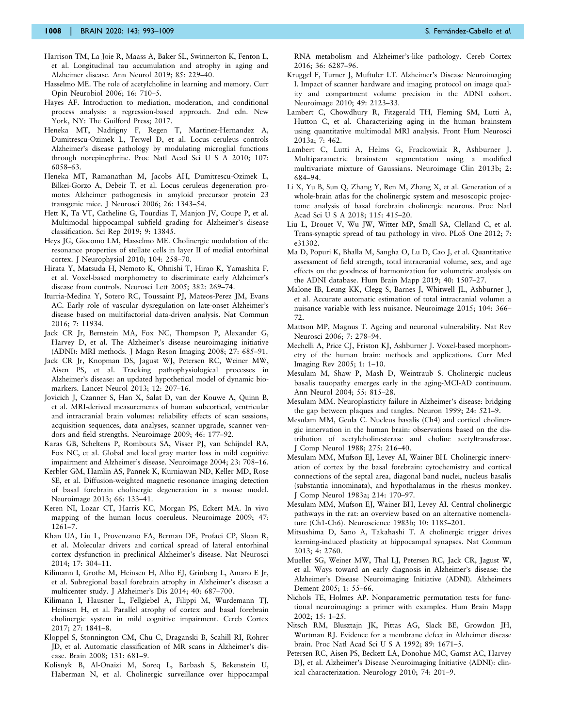- <span id="page-15-0"></span>Harrison TM, La Joie R, Maass A, Baker SL, Swinnerton K, Fenton L, et al. Longitudinal tau accumulation and atrophy in aging and Alzheimer disease. Ann Neurol 2019; 85: 229–40.
- Hasselmo ME. The role of acetylcholine in learning and memory. Curr Opin Neurobiol 2006; 16: 710–5.
- Hayes AF. Introduction to mediation, moderation, and conditional process analysis: a regression-based approach. 2nd edn. New York, NY: The Guilford Press; 2017.
- Heneka MT, Nadrigny F, Regen T, Martinez-Hernandez A, Dumitrescu-Ozimek L, Terwel D, et al. Locus ceruleus controls Alzheimer's disease pathology by modulating microglial functions through norepinephrine. Proc Natl Acad Sci U S A 2010; 107: 6058–63.
- Heneka MT, Ramanathan M, Jacobs AH, Dumitrescu-Ozimek L, Bilkei-Gorzo A, Debeir T, et al. Locus ceruleus degeneration promotes Alzheimer pathogenesis in amyloid precursor protein 23 transgenic mice. J Neurosci 2006; 26: 1343–54.
- Hett K, Ta VT, Catheline G, Tourdias T, Manjon JV, Coupe P, et al. Multimodal hippocampal subfield grading for Alzheimer's disease classification. Sci Rep 2019; 9: 13845.
- Heys JG, Giocomo LM, Hasselmo ME. Cholinergic modulation of the resonance properties of stellate cells in layer II of medial entorhinal cortex. J Neurophysiol 2010; 104: 258–70.
- Hirata Y, Matsuda H, Nemoto K, Ohnishi T, Hirao K, Yamashita F, et al. Voxel-based morphometry to discriminate early Alzheimer's disease from controls. Neurosci Lett 2005; 382: 269–74.
- Iturria-Medina Y, Sotero RC, Toussaint PJ, Mateos-Perez JM, Evans AC. Early role of vascular dysregulation on late-onset Alzheimer's disease based on multifactorial data-driven analysis. Nat Commun 2016; 7: 11934.
- Jack CR Jr, Bernstein MA, Fox NC, Thompson P, Alexander G, Harvey D, et al. The Alzheimer's disease neuroimaging initiative (ADNI): MRI methods. J Magn Reson Imaging 2008; 27: 685–91.
- Jack CR Jr, Knopman DS, Jagust WJ, Petersen RC, Weiner MW, Aisen PS, et al. Tracking pathophysiological processes in Alzheimer's disease: an updated hypothetical model of dynamic biomarkers. Lancet Neurol 2013; 12: 207–16.
- Jovicich J, Czanner S, Han X, Salat D, van der Kouwe A, Quinn B, et al. MRI-derived measurements of human subcortical, ventricular and intracranial brain volumes: reliability effects of scan sessions, acquisition sequences, data analyses, scanner upgrade, scanner vendors and field strengths. Neuroimage 2009; 46: 177–92.
- Karas GB, Scheltens P, Rombouts SA, Visser PJ, van Schijndel RA, Fox NC, et al. Global and local gray matter loss in mild cognitive impairment and Alzheimer's disease. Neuroimage 2004; 23: 708–16.
- Kerbler GM, Hamlin AS, Pannek K, Kurniawan ND, Keller MD, Rose SE, et al. Diffusion-weighted magnetic resonance imaging detection of basal forebrain cholinergic degeneration in a mouse model. Neuroimage 2013; 66: 133–41.
- Keren NI, Lozar CT, Harris KC, Morgan PS, Eckert MA. In vivo mapping of the human locus coeruleus. Neuroimage 2009; 47: 1261–7.
- Khan UA, Liu L, Provenzano FA, Berman DE, Profaci CP, Sloan R, et al. Molecular drivers and cortical spread of lateral entorhinal cortex dysfunction in preclinical Alzheimer's disease. Nat Neurosci 2014; 17: 304–11.
- Kilimann I, Grothe M, Heinsen H, Alho EJ, Grinberg L, Amaro E Jr, et al. Subregional basal forebrain atrophy in Alzheimer's disease: a multicenter study. J Alzheimer's Dis 2014; 40: 687–700.
- Kilimann I, Hausner L, Fellgiebel A, Filippi M, Wurdemann TJ, Heinsen H, et al. Parallel atrophy of cortex and basal forebrain cholinergic system in mild cognitive impairment. Cereb Cortex 2017; 27: 1841–8.
- Kloppel S, Stonnington CM, Chu C, Draganski B, Scahill RI, Rohrer JD, et al. Automatic classification of MR scans in Alzheimer's disease. Brain 2008; 131: 681–9.
- Kolisnyk B, Al-Onaizi M, Soreq L, Barbash S, Bekenstein U, Haberman N, et al. Cholinergic surveillance over hippocampal

RNA metabolism and Alzheimer's-like pathology. Cereb Cortex 2016; 36: 6287–96.

- Kruggel F, Turner J, Muftuler LT. Alzheimer's Disease Neuroimaging I. Impact of scanner hardware and imaging protocol on image quality and compartment volume precision in the ADNI cohort. Neuroimage 2010; 49: 2123–33.
- Lambert C, Chowdhury R, Fitzgerald TH, Fleming SM, Lutti A, Hutton C, et al. Characterizing aging in the human brainstem using quantitative multimodal MRI analysis. Front Hum Neurosci 2013a; 7: 462.
- Lambert C, Lutti A, Helms G, Frackowiak R, Ashburner J. Multiparametric brainstem segmentation using a modified multivariate mixture of Gaussians. Neuroimage Clin 2013b; 2: 684–94.
- Li X, Yu B, Sun Q, Zhang Y, Ren M, Zhang X, et al. Generation of a whole-brain atlas for the cholinergic system and mesoscopic projectome analysis of basal forebrain cholinergic neurons. Proc Natl Acad Sci U S A 2018; 115: 415–20.
- Liu L, Drouet V, Wu JW, Witter MP, Small SA, Clelland C, et al. Trans-synaptic spread of tau pathology in vivo. PLoS One 2012; 7: e31302.
- Ma D, Popuri K, Bhalla M, Sangha O, Lu D, Cao J, et al. Quantitative assessment of field strength, total intracranial volume, sex, and age effects on the goodness of harmonization for volumetric analysis on the ADNI database. Hum Brain Mapp 2019; 40: 1507–27.
- Malone IB, Leung KK, Clegg S, Barnes J, Whitwell JL, Ashburner J, et al. Accurate automatic estimation of total intracranial volume: a nuisance variable with less nuisance. Neuroimage 2015; 104: 366– 72.
- Mattson MP, Magnus T. Ageing and neuronal vulnerability. Nat Rev Neurosci 2006; 7: 278–94.
- Mechelli A, Price CJ, Friston KJ, Ashburner J. Voxel-based morphometry of the human brain: methods and applications. Curr Med Imaging Rev 2005; 1: 1–10.
- Mesulam M, Shaw P, Mash D, Weintraub S. Cholinergic nucleus basalis tauopathy emerges early in the aging-MCI-AD continuum. Ann Neurol 2004; 55: 815–28.
- Mesulam MM. Neuroplasticity failure in Alzheimer's disease: bridging the gap between plaques and tangles. Neuron 1999; 24: 521–9.
- Mesulam MM, Geula C. Nucleus basalis (Ch4) and cortical cholinergic innervation in the human brain: observations based on the distribution of acetylcholinesterase and choline acetyltransferase. J Comp Neurol 1988; 275: 216–40.
- Mesulam MM, Mufson EJ, Levey AI, Wainer BH. Cholinergic innervation of cortex by the basal forebrain: cytochemistry and cortical connections of the septal area, diagonal band nuclei, nucleus basalis (substantia innominata), and hypothalamus in the rhesus monkey. J Comp Neurol 1983a; 214: 170–97.
- Mesulam MM, Mufson EJ, Wainer BH, Levey AI. Central cholinergic pathways in the rat: an overview based on an alternative nomenclature (Ch1-Ch6). Neuroscience 1983b; 10: 1185–201.
- Mitsushima D, Sano A, Takahashi T. A cholinergic trigger drives learning-induced plasticity at hippocampal synapses. Nat Commun 2013; 4: 2760.
- Mueller SG, Weiner MW, Thal LJ, Petersen RC, Jack CR, Jagust W, et al. Ways toward an early diagnosis in Alzheimer's disease: the Alzheimer's Disease Neuroimaging Initiative (ADNI). Alzheimers Dement 2005; 1: 55–66.
- Nichols TE, Holmes AP. Nonparametric permutation tests for functional neuroimaging: a primer with examples. Hum Brain Mapp 2002; 15: 1–25.
- Nitsch RM, Blusztajn JK, Pittas AG, Slack BE, Growdon JH, Wurtman RJ. Evidence for a membrane defect in Alzheimer disease brain. Proc Natl Acad Sci U S A 1992; 89: 1671–5.
- Petersen RC, Aisen PS, Beckett LA, Donohue MC, Gamst AC, Harvey DJ, et al. Alzheimer's Disease Neuroimaging Initiative (ADNI): clinical characterization. Neurology 2010; 74: 201–9.